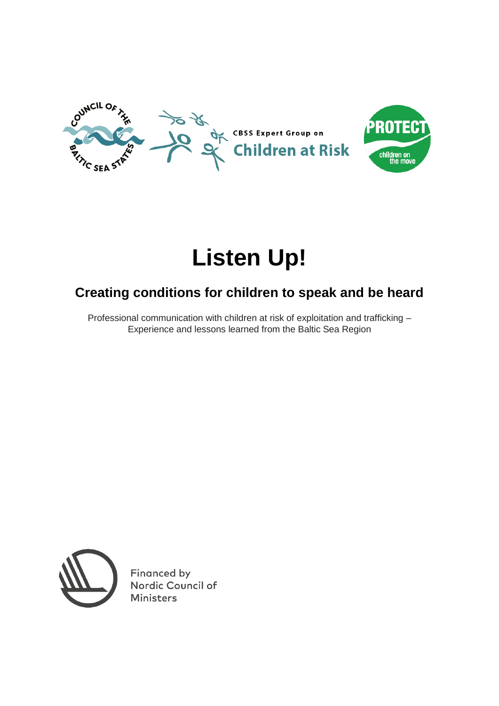

# **Listen Up!**

# **Creating conditions for children to speak and be heard**

Professional communication with children at risk of exploitation and trafficking – Experience and lessons learned from the Baltic Sea Region



Financed by Nordic Council of **Ministers**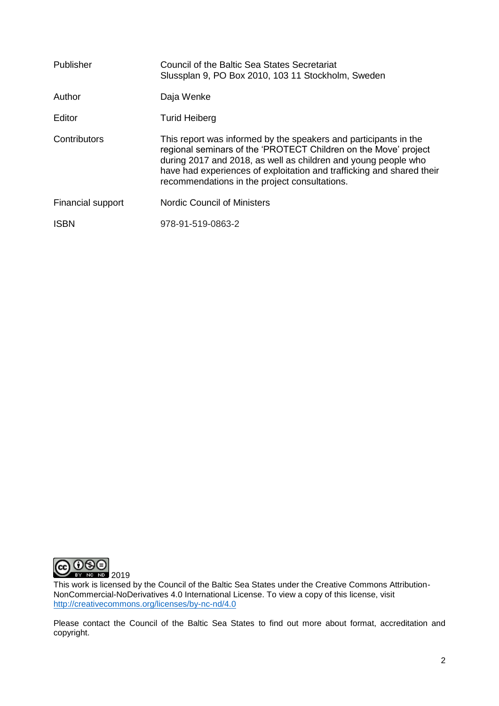| Publisher         | Council of the Baltic Sea States Secretariat<br>Slussplan 9, PO Box 2010, 103 11 Stockholm, Sweden                                                                                                                                                                                                                              |
|-------------------|---------------------------------------------------------------------------------------------------------------------------------------------------------------------------------------------------------------------------------------------------------------------------------------------------------------------------------|
| Author            | Daja Wenke                                                                                                                                                                                                                                                                                                                      |
| Editor            | <b>Turid Heiberg</b>                                                                                                                                                                                                                                                                                                            |
| Contributors      | This report was informed by the speakers and participants in the<br>regional seminars of the 'PROTECT Children on the Move' project<br>during 2017 and 2018, as well as children and young people who<br>have had experiences of exploitation and trafficking and shared their<br>recommendations in the project consultations. |
| Financial support | <b>Nordic Council of Ministers</b>                                                                                                                                                                                                                                                                                              |
| <b>ISBN</b>       | 978-91-519-0863-2                                                                                                                                                                                                                                                                                                               |



This work is licensed by the Council of the Baltic Sea States under the Creative Commons Attribution-NonCommercial-NoDerivatives 4.0 International License. To view a copy of this license, visit [http://creativecommons.org/licenses/by-nc-nd/4.0](http://creativecommons.org/licenses/by-nc-nd/4.0/)

Please contact the Council of the Baltic Sea States to find out more about format, accreditation and copyright.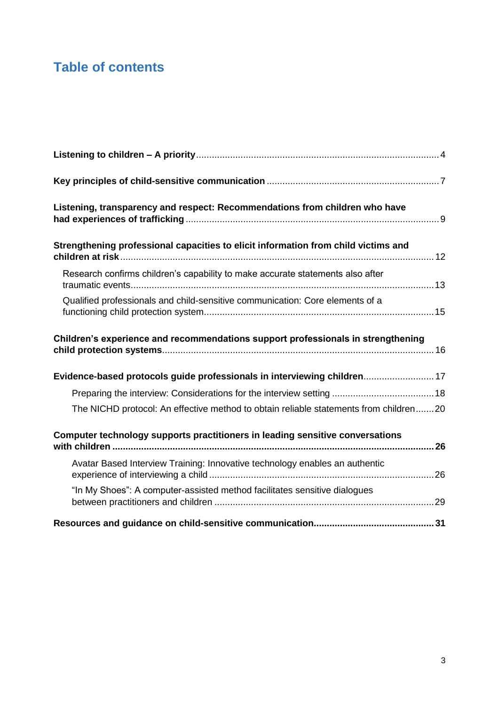# **Table of contents**

| Listening, transparency and respect: Recommendations from children who have           |  |
|---------------------------------------------------------------------------------------|--|
| Strengthening professional capacities to elicit information from child victims and    |  |
| Research confirms children's capability to make accurate statements also after        |  |
| Qualified professionals and child-sensitive communication: Core elements of a         |  |
| Children's experience and recommendations support professionals in strengthening      |  |
| Evidence-based protocols guide professionals in interviewing children 17              |  |
|                                                                                       |  |
| The NICHD protocol: An effective method to obtain reliable statements from children20 |  |
| Computer technology supports practitioners in leading sensitive conversations         |  |
| Avatar Based Interview Training: Innovative technology enables an authentic           |  |
| "In My Shoes": A computer-assisted method facilitates sensitive dialogues             |  |
|                                                                                       |  |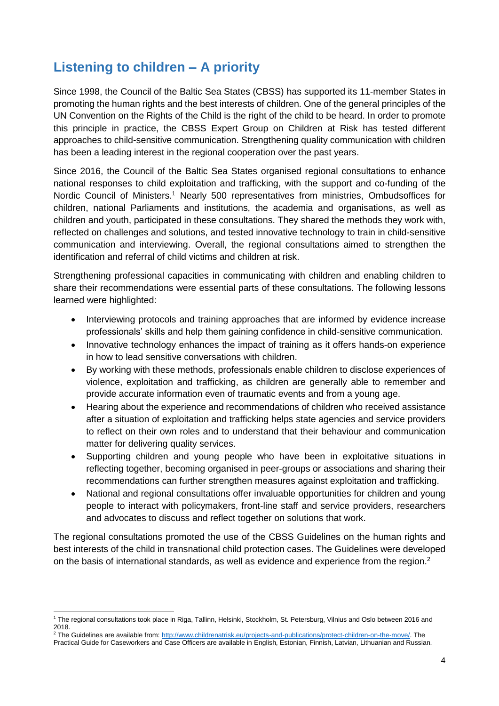# <span id="page-3-0"></span>**Listening to children – A priority**

Since 1998, the Council of the Baltic Sea States (CBSS) has supported its 11-member States in promoting the human rights and the best interests of children. One of the general principles of the UN Convention on the Rights of the Child is the right of the child to be heard. In order to promote this principle in practice, the CBSS Expert Group on Children at Risk has tested different approaches to child-sensitive communication. Strengthening quality communication with children has been a leading interest in the regional cooperation over the past years.

Since 2016, the Council of the Baltic Sea States organised regional consultations to enhance national responses to child exploitation and trafficking, with the support and co-funding of the Nordic Council of Ministers.<sup>1</sup> Nearly 500 representatives from ministries, Ombudsoffices for children, national Parliaments and institutions, the academia and organisations, as well as children and youth, participated in these consultations. They shared the methods they work with, reflected on challenges and solutions, and tested innovative technology to train in child-sensitive communication and interviewing. Overall, the regional consultations aimed to strengthen the identification and referral of child victims and children at risk.

Strengthening professional capacities in communicating with children and enabling children to share their recommendations were essential parts of these consultations. The following lessons learned were highlighted:

- Interviewing protocols and training approaches that are informed by evidence increase professionals' skills and help them gaining confidence in child-sensitive communication.
- Innovative technology enhances the impact of training as it offers hands-on experience in how to lead sensitive conversations with children.
- By working with these methods, professionals enable children to disclose experiences of violence, exploitation and trafficking, as children are generally able to remember and provide accurate information even of traumatic events and from a young age.
- Hearing about the experience and recommendations of children who received assistance after a situation of exploitation and trafficking helps state agencies and service providers to reflect on their own roles and to understand that their behaviour and communication matter for delivering quality services.
- Supporting children and young people who have been in exploitative situations in reflecting together, becoming organised in peer-groups or associations and sharing their recommendations can further strengthen measures against exploitation and trafficking.
- National and regional consultations offer invaluable opportunities for children and young people to interact with policymakers, front-line staff and service providers, researchers and advocates to discuss and reflect together on solutions that work.

The regional consultations promoted the use of the CBSS Guidelines on the human rights and best interests of the child in transnational child protection cases. The Guidelines were developed on the basis of international standards, as well as evidence and experience from the region. $2$ 

 $\overline{\phantom{a}}$ <sup>1</sup> The regional consultations took place in Riga, Tallinn, Helsinki, Stockholm, St. Petersburg, Vilnius and Oslo between 2016 and 2018.

<sup>&</sup>lt;sup>2</sup> The Guidelines are available from: [http://www.childrenatrisk.eu/projects-and-publications/protect-children-on-the-move/.](http://www.childrenatrisk.eu/projects-and-publications/protect-children-on-the-move/) The Practical Guide for Caseworkers and Case Officers are available in English, Estonian, Finnish, Latvian, Lithuanian and Russian.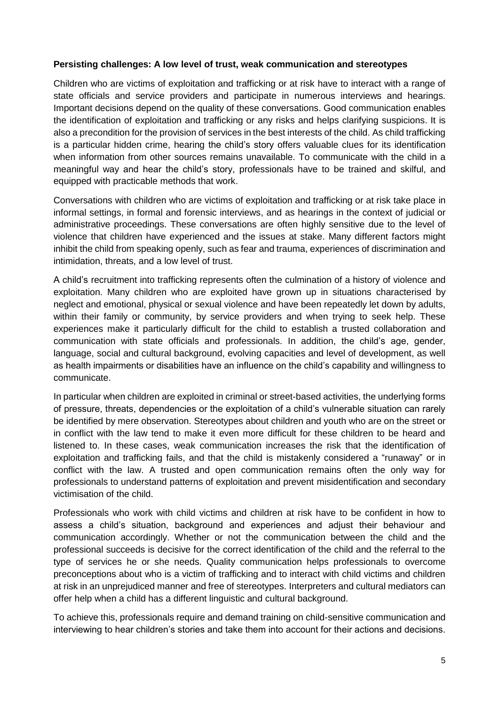#### **Persisting challenges: A low level of trust, weak communication and stereotypes**

Children who are victims of exploitation and trafficking or at risk have to interact with a range of state officials and service providers and participate in numerous interviews and hearings. Important decisions depend on the quality of these conversations. Good communication enables the identification of exploitation and trafficking or any risks and helps clarifying suspicions. It is also a precondition for the provision of services in the best interests of the child. As child trafficking is a particular hidden crime, hearing the child's story offers valuable clues for its identification when information from other sources remains unavailable. To communicate with the child in a meaningful way and hear the child's story, professionals have to be trained and skilful, and equipped with practicable methods that work.

Conversations with children who are victims of exploitation and trafficking or at risk take place in informal settings, in formal and forensic interviews, and as hearings in the context of judicial or administrative proceedings. These conversations are often highly sensitive due to the level of violence that children have experienced and the issues at stake. Many different factors might inhibit the child from speaking openly, such as fear and trauma, experiences of discrimination and intimidation, threats, and a low level of trust.

A child's recruitment into trafficking represents often the culmination of a history of violence and exploitation. Many children who are exploited have grown up in situations characterised by neglect and emotional, physical or sexual violence and have been repeatedly let down by adults, within their family or community, by service providers and when trying to seek help. These experiences make it particularly difficult for the child to establish a trusted collaboration and communication with state officials and professionals. In addition, the child's age, gender, language, social and cultural background, evolving capacities and level of development, as well as health impairments or disabilities have an influence on the child's capability and willingness to communicate.

In particular when children are exploited in criminal or street-based activities, the underlying forms of pressure, threats, dependencies or the exploitation of a child's vulnerable situation can rarely be identified by mere observation. Stereotypes about children and youth who are on the street or in conflict with the law tend to make it even more difficult for these children to be heard and listened to. In these cases, weak communication increases the risk that the identification of exploitation and trafficking fails, and that the child is mistakenly considered a "runaway" or in conflict with the law. A trusted and open communication remains often the only way for professionals to understand patterns of exploitation and prevent misidentification and secondary victimisation of the child.

Professionals who work with child victims and children at risk have to be confident in how to assess a child's situation, background and experiences and adjust their behaviour and communication accordingly. Whether or not the communication between the child and the professional succeeds is decisive for the correct identification of the child and the referral to the type of services he or she needs. Quality communication helps professionals to overcome preconceptions about who is a victim of trafficking and to interact with child victims and children at risk in an unprejudiced manner and free of stereotypes. Interpreters and cultural mediators can offer help when a child has a different linguistic and cultural background.

To achieve this, professionals require and demand training on child-sensitive communication and interviewing to hear children's stories and take them into account for their actions and decisions.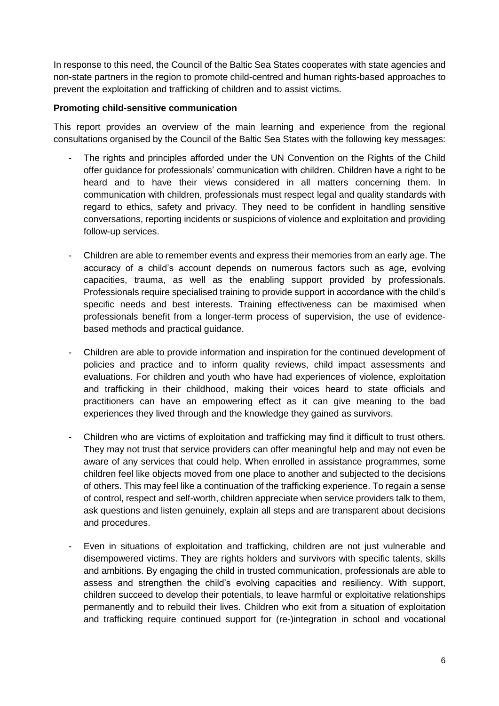In response to this need, the Council of the Baltic Sea States cooperates with state agencies and non-state partners in the region to promote child-centred and human rights-based approaches to prevent the exploitation and trafficking of children and to assist victims.

# **Promoting child-sensitive communication**

This report provides an overview of the main learning and experience from the regional consultations organised by the Council of the Baltic Sea States with the following key messages:

- The rights and principles afforded under the UN Convention on the Rights of the Child offer guidance for professionals' communication with children. Children have a right to be heard and to have their views considered in all matters concerning them. In communication with children, professionals must respect legal and quality standards with regard to ethics, safety and privacy. They need to be confident in handling sensitive conversations, reporting incidents or suspicions of violence and exploitation and providing follow-up services.
- Children are able to remember events and express their memories from an early age. The accuracy of a child's account depends on numerous factors such as age, evolving capacities, trauma, as well as the enabling support provided by professionals. Professionals require specialised training to provide support in accordance with the child's specific needs and best interests. Training effectiveness can be maximised when professionals benefit from a longer-term process of supervision, the use of evidencebased methods and practical guidance.
- Children are able to provide information and inspiration for the continued development of policies and practice and to inform quality reviews, child impact assessments and evaluations. For children and youth who have had experiences of violence, exploitation and trafficking in their childhood, making their voices heard to state officials and practitioners can have an empowering effect as it can give meaning to the bad experiences they lived through and the knowledge they gained as survivors.
- Children who are victims of exploitation and trafficking may find it difficult to trust others. They may not trust that service providers can offer meaningful help and may not even be aware of any services that could help. When enrolled in assistance programmes, some children feel like objects moved from one place to another and subjected to the decisions of others. This may feel like a continuation of the trafficking experience. To regain a sense of control, respect and self-worth, children appreciate when service providers talk to them, ask questions and listen genuinely, explain all steps and are transparent about decisions and procedures.
- Even in situations of exploitation and trafficking, children are not just vulnerable and disempowered victims. They are rights holders and survivors with specific talents, skills and ambitions. By engaging the child in trusted communication, professionals are able to assess and strengthen the child's evolving capacities and resiliency. With support, children succeed to develop their potentials, to leave harmful or exploitative relationships permanently and to rebuild their lives. Children who exit from a situation of exploitation and trafficking require continued support for (re-)integration in school and vocational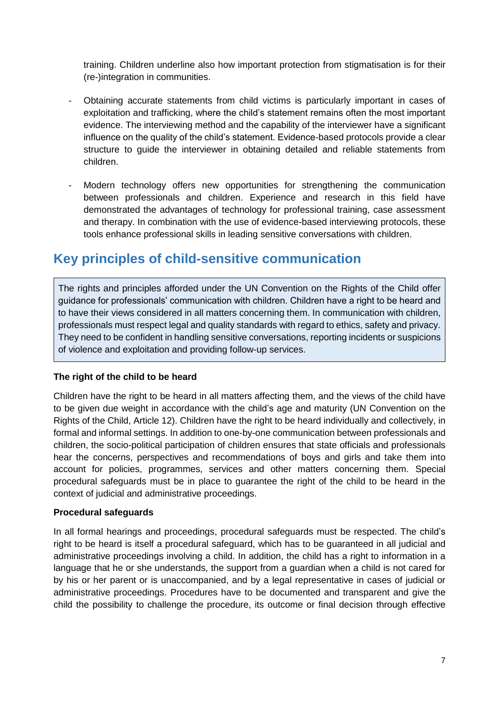training. Children underline also how important protection from stigmatisation is for their (re-)integration in communities.

- Obtaining accurate statements from child victims is particularly important in cases of exploitation and trafficking, where the child's statement remains often the most important evidence. The interviewing method and the capability of the interviewer have a significant influence on the quality of the child's statement. Evidence-based protocols provide a clear structure to guide the interviewer in obtaining detailed and reliable statements from children.
- Modern technology offers new opportunities for strengthening the communication between professionals and children. Experience and research in this field have demonstrated the advantages of technology for professional training, case assessment and therapy. In combination with the use of evidence-based interviewing protocols, these tools enhance professional skills in leading sensitive conversations with children.

# <span id="page-6-0"></span>**Key principles of child-sensitive communication**

The rights and principles afforded under the UN Convention on the Rights of the Child offer guidance for professionals' communication with children. Children have a right to be heard and to have their views considered in all matters concerning them. In communication with children, professionals must respect legal and quality standards with regard to ethics, safety and privacy. They need to be confident in handling sensitive conversations, reporting incidents or suspicions of violence and exploitation and providing follow-up services.

# **The right of the child to be heard**

Children have the right to be heard in all matters affecting them, and the views of the child have to be given due weight in accordance with the child's age and maturity (UN Convention on the Rights of the Child, Article 12). Children have the right to be heard individually and collectively, in formal and informal settings. In addition to one-by-one communication between professionals and children, the socio-political participation of children ensures that state officials and professionals hear the concerns, perspectives and recommendations of boys and girls and take them into account for policies, programmes, services and other matters concerning them. Special procedural safeguards must be in place to guarantee the right of the child to be heard in the context of judicial and administrative proceedings.

#### **Procedural safeguards**

In all formal hearings and proceedings, procedural safeguards must be respected. The child's right to be heard is itself a procedural safeguard, which has to be guaranteed in all judicial and administrative proceedings involving a child. In addition, the child has a right to information in a language that he or she understands, the support from a guardian when a child is not cared for by his or her parent or is unaccompanied, and by a legal representative in cases of judicial or administrative proceedings. Procedures have to be documented and transparent and give the child the possibility to challenge the procedure, its outcome or final decision through effective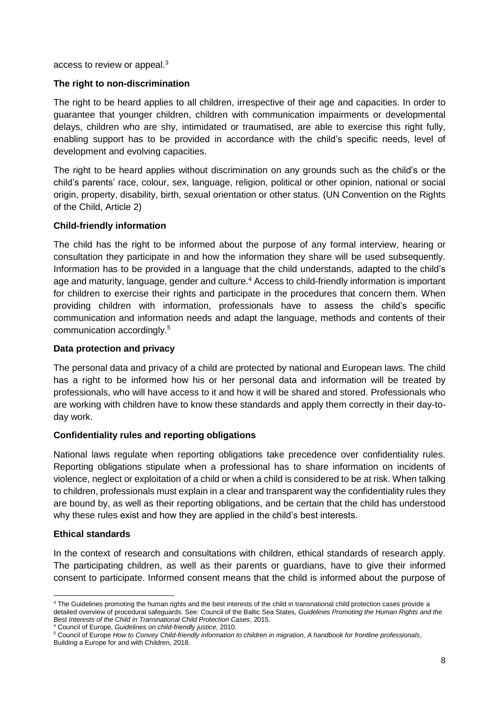access to review or appeal.<sup>3</sup>

#### **The right to non-discrimination**

The right to be heard applies to all children, irrespective of their age and capacities. In order to guarantee that younger children, children with communication impairments or developmental delays, children who are shy, intimidated or traumatised, are able to exercise this right fully, enabling support has to be provided in accordance with the child's specific needs, level of development and evolving capacities.

The right to be heard applies without discrimination on any grounds such as the child's or the child's parents' race, colour, sex, language, religion, political or other opinion, national or social origin, property, disability, birth, sexual orientation or other status. (UN Convention on the Rights of the Child, Article 2)

### **Child-friendly information**

The child has the right to be informed about the purpose of any formal interview, hearing or consultation they participate in and how the information they share will be used subsequently. Information has to be provided in a language that the child understands, adapted to the child's age and maturity, language, gender and culture.<sup>4</sup> Access to child-friendly information is important for children to exercise their rights and participate in the procedures that concern them. When providing children with information, professionals have to assess the child's specific communication and information needs and adapt the language, methods and contents of their communication accordingly.<sup>5</sup>

### **Data protection and privacy**

The personal data and privacy of a child are protected by national and European laws. The child has a right to be informed how his or her personal data and information will be treated by professionals, who will have access to it and how it will be shared and stored. Professionals who are working with children have to know these standards and apply them correctly in their day-today work.

#### **Confidentiality rules and reporting obligations**

National laws regulate when reporting obligations take precedence over confidentiality rules. Reporting obligations stipulate when a professional has to share information on incidents of violence, neglect or exploitation of a child or when a child is considered to be at risk. When talking to children, professionals must explain in a clear and transparent way the confidentiality rules they are bound by, as well as their reporting obligations, and be certain that the child has understood why these rules exist and how they are applied in the child's best interests.

#### **Ethical standards**

 $\overline{\phantom{a}}$ 

In the context of research and consultations with children, ethical standards of research apply. The participating children, as well as their parents or guardians, have to give their informed consent to participate. Informed consent means that the child is informed about the purpose of

<sup>4</sup> Council of Europe, *Guidelines on child-friendly justice*, 2010.

<sup>&</sup>lt;sup>3</sup> The Guidelines promoting the human rights and the best interests of the child in transnational child protection cases provide a detailed overview of procedural safeguards. See: Council of the Baltic Sea States, *Guidelines Promoting the Human Rights and the Best Interests of the Child in Transnational Child Protection Cases*, 2015.

<sup>5</sup> Council of Europe *How to Convey Child-friendly information to children in migration, A handbook for frontline professionals*,

Building a Europe for and with Children, 2018.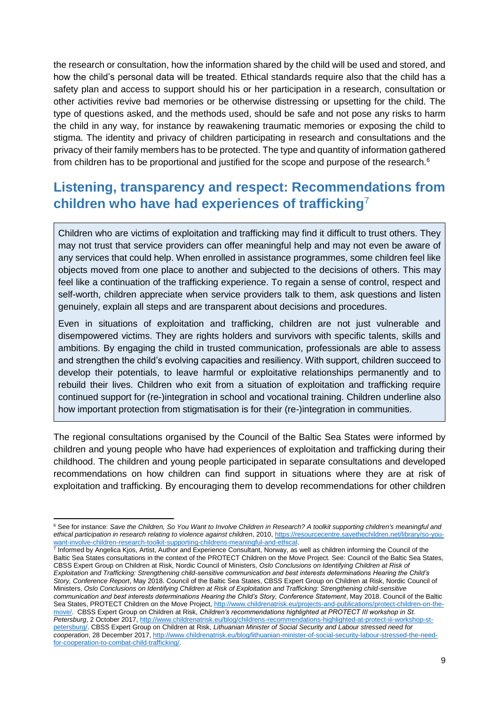the research or consultation, how the information shared by the child will be used and stored, and how the child's personal data will be treated. Ethical standards require also that the child has a safety plan and access to support should his or her participation in a research, consultation or other activities revive bad memories or be otherwise distressing or upsetting for the child. The type of questions asked, and the methods used, should be safe and not pose any risks to harm the child in any way, for instance by reawakening traumatic memories or exposing the child to stigma. The identity and privacy of children participating in research and consultations and the privacy of their family members has to be protected. The type and quantity of information gathered from children has to be proportional and justified for the scope and purpose of the research.<sup>6</sup>

# <span id="page-8-0"></span>**Listening, transparency and respect: Recommendations from children who have had experiences of trafficking**<sup>7</sup>

Children who are victims of exploitation and trafficking may find it difficult to trust others. They may not trust that service providers can offer meaningful help and may not even be aware of any services that could help. When enrolled in assistance programmes, some children feel like objects moved from one place to another and subjected to the decisions of others. This may feel like a continuation of the trafficking experience. To regain a sense of control, respect and self-worth, children appreciate when service providers talk to them, ask questions and listen genuinely, explain all steps and are transparent about decisions and procedures.

Even in situations of exploitation and trafficking, children are not just vulnerable and disempowered victims. They are rights holders and survivors with specific talents, skills and ambitions. By engaging the child in trusted communication, professionals are able to assess and strengthen the child's evolving capacities and resiliency. With support, children succeed to develop their potentials, to leave harmful or exploitative relationships permanently and to rebuild their lives. Children who exit from a situation of exploitation and trafficking require continued support for (re-)integration in school and vocational training. Children underline also how important protection from stigmatisation is for their (re-)integration in communities.

The regional consultations organised by the Council of the Baltic Sea States were informed by children and young people who have had experiences of exploitation and trafficking during their childhood. The children and young people participated in separate consultations and developed recommendations on how children can find support in situations where they are at risk of exploitation and trafficking. By encouraging them to develop recommendations for other children

Informed by Angelica Kjos, Artist, Author and Experience Consultant, Norway, as well as children informing the Council of the Baltic Sea States consultations in the context of the PROTECT Children on the Move Project. See: Council of the Baltic Sea States, CBSS Expert Group on Children at Risk, Nordic Council of Ministers, *Oslo Conclusions on Identifying Children at Risk of Exploitation and Trafficking: Strengthening child-sensitive communication and best interests determinations Hearing the Child's Story, Conference Report*, May 2018. Council of the Baltic Sea States, CBSS Expert Group on Children at Risk, Nordic Council of Ministers, *Oslo Conclusions on Identifying Children at Risk of Exploitation and Trafficking: Strengthening child-sensitive communication and best interests determinations Hearing the Child's Story, Conference Statement*, May 2018. Council of the Baltic Sea States, PROTECT Children on the Move Project[, http://www.childrenatrisk.eu/projects-and-publications/protect-children-on-the](http://www.childrenatrisk.eu/projects-and-publications/protect-children-on-the-move/)[move/.](http://www.childrenatrisk.eu/projects-and-publications/protect-children-on-the-move/) CBSS Expert Group on Children at Risk, *Children's recommendations highlighted at PROTECT III workshop in St. Petersburg*, 2 October 2017, [http://www.childrenatrisk.eu/blog/childrens-recommendations-highlighted-at-protect-iii-workshop-st](http://www.childrenatrisk.eu/blog/childrens-recommendations-highlighted-at-protect-iii-workshop-st-petersburg/)[petersburg/.](http://www.childrenatrisk.eu/blog/childrens-recommendations-highlighted-at-protect-iii-workshop-st-petersburg/) CBSS Expert Group on Children at Risk, *Lithuanian Minister of Social Security and Labour stressed need for cooperation*, 28 December 2017[, http://www.childrenatrisk.eu/blog/lithuanian-minister-of-social-security-labour-stressed-the-need](http://www.childrenatrisk.eu/blog/lithuanian-minister-of-social-security-labour-stressed-the-need-for-cooperation-to-combat-child-trafficking/)[for-cooperation-to-combat-child-trafficking/.](http://www.childrenatrisk.eu/blog/lithuanian-minister-of-social-security-labour-stressed-the-need-for-cooperation-to-combat-child-trafficking/)

 $\overline{\phantom{a}}$ <sup>6</sup> See for instance: *Save the Children, So You Want to Involve Children in Research? A toolkit supporting children's meaningful and ethical participation in research relating to violence against children*, 2010, [https://resourcecentre.savethechildren.net/library/so-you](https://resourcecentre.savethechildren.net/library/so-you-want-involve-children-research-toolkit-supporting-childrens-meaningful-and-ethical)[want-involve-children-research-toolkit-supporting-childrens-meaningful-and-ethical.](https://resourcecentre.savethechildren.net/library/so-you-want-involve-children-research-toolkit-supporting-childrens-meaningful-and-ethical)<br>7 Informed by Angelica Kios, Artist, Author and Experience Consultant, Norway, as a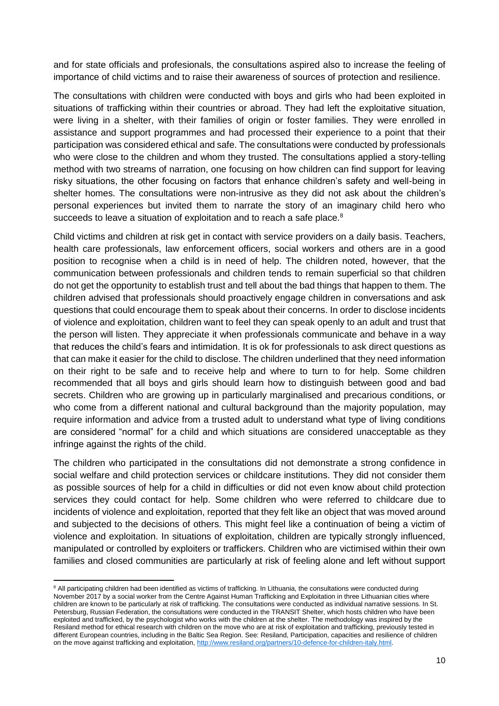and for state officials and profesionals, the consultations aspired also to increase the feeling of importance of child victims and to raise their awareness of sources of protection and resilience.

The consultations with children were conducted with boys and girls who had been exploited in situations of trafficking within their countries or abroad. They had left the exploitative situation, were living in a shelter, with their families of origin or foster families. They were enrolled in assistance and support programmes and had processed their experience to a point that their participation was considered ethical and safe. The consultations were conducted by professionals who were close to the children and whom they trusted. The consultations applied a story-telling method with two streams of narration, one focusing on how children can find support for leaving risky situations, the other focusing on factors that enhance children's safety and well-being in shelter homes. The consultations were non-intrusive as they did not ask about the children's personal experiences but invited them to narrate the story of an imaginary child hero who succeeds to leave a situation of exploitation and to reach a safe place.<sup>8</sup>

Child victims and children at risk get in contact with service providers on a daily basis. Teachers, health care professionals, law enforcement officers, social workers and others are in a good position to recognise when a child is in need of help. The children noted, however, that the communication between professionals and children tends to remain superficial so that children do not get the opportunity to establish trust and tell about the bad things that happen to them. The children advised that professionals should proactively engage children in conversations and ask questions that could encourage them to speak about their concerns. In order to disclose incidents of violence and exploitation, children want to feel they can speak openly to an adult and trust that the person will listen. They appreciate it when professionals communicate and behave in a way that reduces the child's fears and intimidation. It is ok for professionals to ask direct questions as that can make it easier for the child to disclose. The children underlined that they need information on their right to be safe and to receive help and where to turn to for help. Some children recommended that all boys and girls should learn how to distinguish between good and bad secrets. Children who are growing up in particularly marginalised and precarious conditions, or who come from a different national and cultural background than the majority population, may require information and advice from a trusted adult to understand what type of living conditions are considered "normal" for a child and which situations are considered unacceptable as they infringe against the rights of the child.

The children who participated in the consultations did not demonstrate a strong confidence in social welfare and child protection services or childcare institutions. They did not consider them as possible sources of help for a child in difficulties or did not even know about child protection services they could contact for help. Some children who were referred to childcare due to incidents of violence and exploitation, reported that they felt like an object that was moved around and subjected to the decisions of others. This might feel like a continuation of being a victim of violence and exploitation. In situations of exploitation, children are typically strongly influenced, manipulated or controlled by exploiters or traffickers. Children who are victimised within their own families and closed communities are particularly at risk of feeling alone and left without support

 $\overline{\phantom{a}}$ 

<sup>&</sup>lt;sup>8</sup> All participating children had been identified as victims of trafficking. In Lithuania, the consultations were conducted during November 2017 by a social worker from the Centre Against Human Trafficking and Exploitation in three Lithuanian cities where children are known to be particularly at risk of trafficking. The consultations were conducted as individual narrative sessions. In St. Petersburg, Russian Federation, the consultations were conducted in the TRANSIT Shelter, which hosts children who have been exploited and trafficked, by the psychologist who works with the children at the shelter. The methodology was inspired by the Resiland method for ethical research with children on the move who are at risk of exploitation and trafficking, previously tested in different European countries, including in the Baltic Sea Region. See: Resiland, Participation, capacities and resilience of children on the move against trafficking and exploitation, [http://www.resiland.org/partners/10-defence-for-children-italy.html.](http://www.resiland.org/partners/10-defence-for-children-italy.html)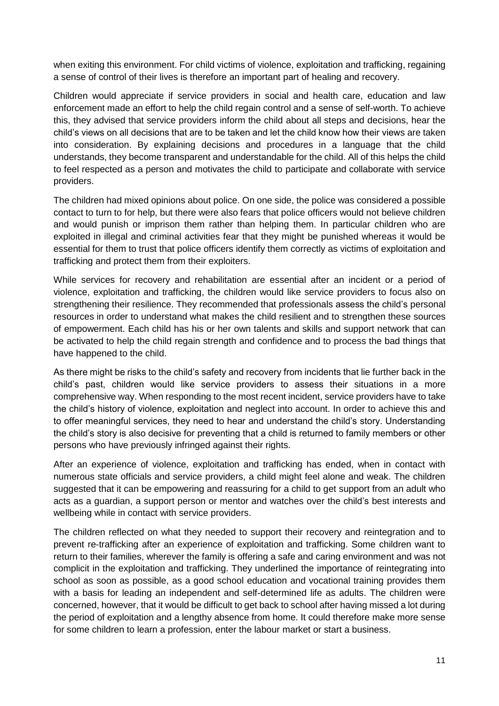when exiting this environment. For child victims of violence, exploitation and trafficking, regaining a sense of control of their lives is therefore an important part of healing and recovery.

Children would appreciate if service providers in social and health care, education and law enforcement made an effort to help the child regain control and a sense of self-worth. To achieve this, they advised that service providers inform the child about all steps and decisions, hear the child's views on all decisions that are to be taken and let the child know how their views are taken into consideration. By explaining decisions and procedures in a language that the child understands, they become transparent and understandable for the child. All of this helps the child to feel respected as a person and motivates the child to participate and collaborate with service providers.

The children had mixed opinions about police. On one side, the police was considered a possible contact to turn to for help, but there were also fears that police officers would not believe children and would punish or imprison them rather than helping them. In particular children who are exploited in illegal and criminal activities fear that they might be punished whereas it would be essential for them to trust that police officers identify them correctly as victims of exploitation and trafficking and protect them from their exploiters.

While services for recovery and rehabilitation are essential after an incident or a period of violence, exploitation and trafficking, the children would like service providers to focus also on strengthening their resilience. They recommended that professionals assess the child's personal resources in order to understand what makes the child resilient and to strengthen these sources of empowerment. Each child has his or her own talents and skills and support network that can be activated to help the child regain strength and confidence and to process the bad things that have happened to the child.

As there might be risks to the child's safety and recovery from incidents that lie further back in the child's past, children would like service providers to assess their situations in a more comprehensive way. When responding to the most recent incident, service providers have to take the child's history of violence, exploitation and neglect into account. In order to achieve this and to offer meaningful services, they need to hear and understand the child's story. Understanding the child's story is also decisive for preventing that a child is returned to family members or other persons who have previously infringed against their rights.

After an experience of violence, exploitation and trafficking has ended, when in contact with numerous state officials and service providers, a child might feel alone and weak. The children suggested that it can be empowering and reassuring for a child to get support from an adult who acts as a guardian, a support person or mentor and watches over the child's best interests and wellbeing while in contact with service providers.

The children reflected on what they needed to support their recovery and reintegration and to prevent re-trafficking after an experience of exploitation and trafficking. Some children want to return to their families, wherever the family is offering a safe and caring environment and was not complicit in the exploitation and trafficking. They underlined the importance of reintegrating into school as soon as possible, as a good school education and vocational training provides them with a basis for leading an independent and self-determined life as adults. The children were concerned, however, that it would be difficult to get back to school after having missed a lot during the period of exploitation and a lengthy absence from home. It could therefore make more sense for some children to learn a profession, enter the labour market or start a business.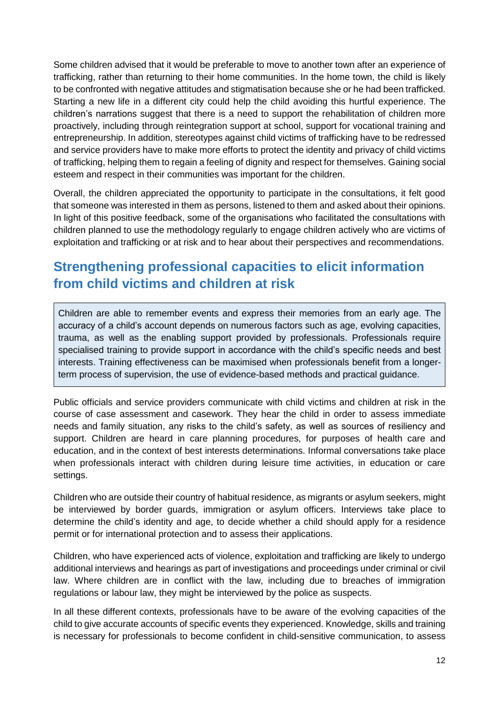Some children advised that it would be preferable to move to another town after an experience of trafficking, rather than returning to their home communities. In the home town, the child is likely to be confronted with negative attitudes and stigmatisation because she or he had been trafficked. Starting a new life in a different city could help the child avoiding this hurtful experience. The children's narrations suggest that there is a need to support the rehabilitation of children more proactively, including through reintegration support at school, support for vocational training and entrepreneurship. In addition, stereotypes against child victims of trafficking have to be redressed and service providers have to make more efforts to protect the identity and privacy of child victims of trafficking, helping them to regain a feeling of dignity and respect for themselves. Gaining social esteem and respect in their communities was important for the children.

Overall, the children appreciated the opportunity to participate in the consultations, it felt good that someone was interested in them as persons, listened to them and asked about their opinions. In light of this positive feedback, some of the organisations who facilitated the consultations with children planned to use the methodology regularly to engage children actively who are victims of exploitation and trafficking or at risk and to hear about their perspectives and recommendations.

# <span id="page-11-0"></span>**Strengthening professional capacities to elicit information from child victims and children at risk**

Children are able to remember events and express their memories from an early age. The accuracy of a child's account depends on numerous factors such as age, evolving capacities, trauma, as well as the enabling support provided by professionals. Professionals require specialised training to provide support in accordance with the child's specific needs and best interests. Training effectiveness can be maximised when professionals benefit from a longerterm process of supervision, the use of evidence-based methods and practical guidance.

Public officials and service providers communicate with child victims and children at risk in the course of case assessment and casework. They hear the child in order to assess immediate needs and family situation, any risks to the child's safety, as well as sources of resiliency and support. Children are heard in care planning procedures, for purposes of health care and education, and in the context of best interests determinations. Informal conversations take place when professionals interact with children during leisure time activities, in education or care settings.

Children who are outside their country of habitual residence, as migrants or asylum seekers, might be interviewed by border guards, immigration or asylum officers. Interviews take place to determine the child's identity and age, to decide whether a child should apply for a residence permit or for international protection and to assess their applications.

Children, who have experienced acts of violence, exploitation and trafficking are likely to undergo additional interviews and hearings as part of investigations and proceedings under criminal or civil law. Where children are in conflict with the law, including due to breaches of immigration regulations or labour law, they might be interviewed by the police as suspects.

In all these different contexts, professionals have to be aware of the evolving capacities of the child to give accurate accounts of specific events they experienced. Knowledge, skills and training is necessary for professionals to become confident in child-sensitive communication, to assess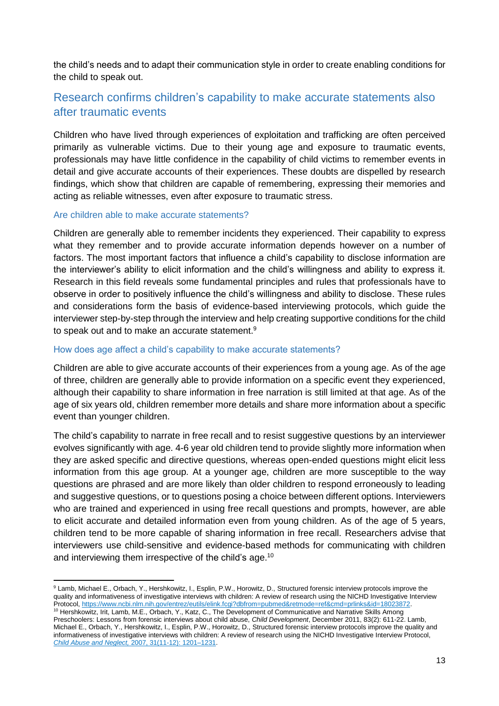the child's needs and to adapt their communication style in order to create enabling conditions for the child to speak out.

# <span id="page-12-0"></span>Research confirms children's capability to make accurate statements also after traumatic events

Children who have lived through experiences of exploitation and trafficking are often perceived primarily as vulnerable victims. Due to their young age and exposure to traumatic events, professionals may have little confidence in the capability of child victims to remember events in detail and give accurate accounts of their experiences. These doubts are dispelled by research findings, which show that children are capable of remembering, expressing their memories and acting as reliable witnesses, even after exposure to traumatic stress.

#### Are children able to make accurate statements?

Children are generally able to remember incidents they experienced. Their capability to express what they remember and to provide accurate information depends however on a number of factors. The most important factors that influence a child's capability to disclose information are the interviewer's ability to elicit information and the child's willingness and ability to express it. Research in this field reveals some fundamental principles and rules that professionals have to observe in order to positively influence the child's willingness and ability to disclose. These rules and considerations form the basis of evidence-based interviewing protocols, which guide the interviewer step-by-step through the interview and help creating supportive conditions for the child to speak out and to make an accurate statement.<sup>9</sup>

#### How does age affect a child's capability to make accurate statements?

Children are able to give accurate accounts of their experiences from a young age. As of the age of three, children are generally able to provide information on a specific event they experienced, although their capability to share information in free narration is still limited at that age. As of the age of six years old, children remember more details and share more information about a specific event than younger children.

The child's capability to narrate in free recall and to resist suggestive questions by an interviewer evolves significantly with age. 4-6 year old children tend to provide slightly more information when they are asked specific and directive questions, whereas open-ended questions might elicit less information from this age group. At a younger age, children are more susceptible to the way questions are phrased and are more likely than older children to respond erroneously to leading and suggestive questions, or to questions posing a choice between different options. Interviewers who are trained and experienced in using free recall questions and prompts, however, are able to elicit accurate and detailed information even from young children. As of the age of 5 years, children tend to be more capable of sharing information in free recall. Researchers advise that interviewers use child-sensitive and evidence-based methods for communicating with children and interviewing them irrespective of the child's age.<sup>10</sup>

 $\overline{\phantom{a}}$ <sup>9</sup> Lamb, Michael E., Orbach, Y., Hershkowitz, I., Esplin, P.W., Horowitz, D., Structured forensic interview protocols improve the quality and informativeness of investigative interviews with children: A review of research using the NICHD Investigative Interview Protocol, https://www.ncbi.nlm.nih.gov/entrez/eutils/elink.fcgi?dbfrom=pubmed&retmode=ref&cmd=prlinks&id=18023872. <sup>10</sup> Hershkowitz, Irit, Lamb, M.E., Orbach, Y., Katz, C., The Development of Communicative and Narrative Skills Among

Preschoolers: Lessons from forensic interviews about child abuse, *Child Development*, December 2011, 83(2): 611-22. Lamb, Michael E., Orbach, Y., Hershkowitz, I., Esplin, P.W., Horowitz, D., Structured forensic interview protocols improve the quality and informativeness of investigative interviews with children: A review of research using the NICHD Investigative Interview Protocol, *Child Abuse and Neglect,* [2007, 31\(11-12\): 1201–1231.](https://www.ncbi.nlm.nih.gov/entrez/eutils/elink.fcgi?dbfrom=pubmed&retmode=ref&cmd=prlinks&id=18023872)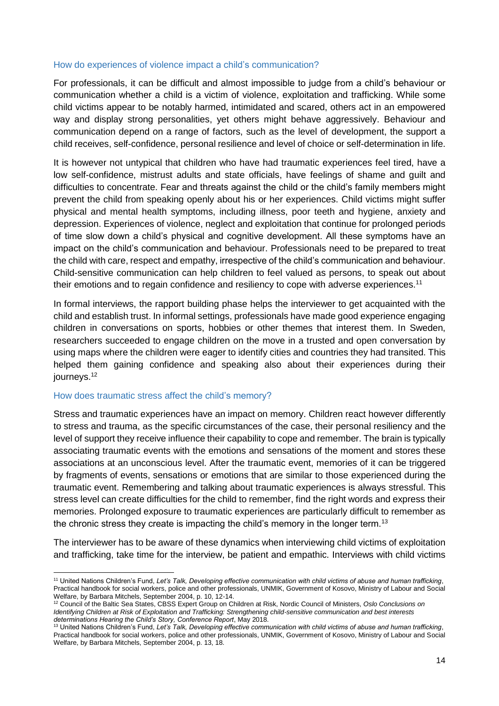#### How do experiences of violence impact a child's communication?

For professionals, it can be difficult and almost impossible to judge from a child's behaviour or communication whether a child is a victim of violence, exploitation and trafficking. While some child victims appear to be notably harmed, intimidated and scared, others act in an empowered way and display strong personalities, yet others might behave aggressively. Behaviour and communication depend on a range of factors, such as the level of development, the support a child receives, self-confidence, personal resilience and level of choice or self-determination in life.

It is however not untypical that children who have had traumatic experiences feel tired, have a low self-confidence, mistrust adults and state officials, have feelings of shame and guilt and difficulties to concentrate. Fear and threats against the child or the child's family members might prevent the child from speaking openly about his or her experiences. Child victims might suffer physical and mental health symptoms, including illness, poor teeth and hygiene, anxiety and depression. Experiences of violence, neglect and exploitation that continue for prolonged periods of time slow down a child's physical and cognitive development. All these symptoms have an impact on the child's communication and behaviour. Professionals need to be prepared to treat the child with care, respect and empathy, irrespective of the child's communication and behaviour. Child-sensitive communication can help children to feel valued as persons, to speak out about their emotions and to regain confidence and resiliency to cope with adverse experiences.<sup>11</sup>

In formal interviews, the rapport building phase helps the interviewer to get acquainted with the child and establish trust. In informal settings, professionals have made good experience engaging children in conversations on sports, hobbies or other themes that interest them. In Sweden, researchers succeeded to engage children on the move in a trusted and open conversation by using maps where the children were eager to identify cities and countries they had transited. This helped them gaining confidence and speaking also about their experiences during their journeys.<sup>12</sup>

#### How does traumatic stress affect the child's memory?

Stress and traumatic experiences have an impact on memory. Children react however differently to stress and trauma, as the specific circumstances of the case, their personal resiliency and the level of support they receive influence their capability to cope and remember. The brain is typically associating traumatic events with the emotions and sensations of the moment and stores these associations at an unconscious level. After the traumatic event, memories of it can be triggered by fragments of events, sensations or emotions that are similar to those experienced during the traumatic event. Remembering and talking about traumatic experiences is always stressful. This stress level can create difficulties for the child to remember, find the right words and express their memories. Prolonged exposure to traumatic experiences are particularly difficult to remember as the chronic stress they create is impacting the child's memory in the longer term.<sup>13</sup>

The interviewer has to be aware of these dynamics when interviewing child victims of exploitation and trafficking, take time for the interview, be patient and empathic. Interviews with child victims

 $\overline{a}$ <sup>11</sup> United Nations Children's Fund, *Let's Talk, Developing effective communication with child victims of abuse and human trafficking*, Practical handbook for social workers, police and other professionals, UNMIK, Government of Kosovo, Ministry of Labour and Social Welfare, by Barbara Mitchels, September 2004, p. 10, 12-14.

<sup>12</sup> Council of the Baltic Sea States, CBSS Expert Group on Children at Risk, Nordic Council of Ministers, *Oslo Conclusions on Identifying Children at Risk of Exploitation and Trafficking: Strengthening child-sensitive communication and best interests determinations Hearing the Child's Story, Conference Report*, May 2018.

<sup>13</sup> United Nations Children's Fund, *Let's Talk, Developing effective communication with child victims of abuse and human trafficking*, Practical handbook for social workers, police and other professionals, UNMIK, Government of Kosovo, Ministry of Labour and Social Welfare, by Barbara Mitchels, September 2004, p. 13, 18.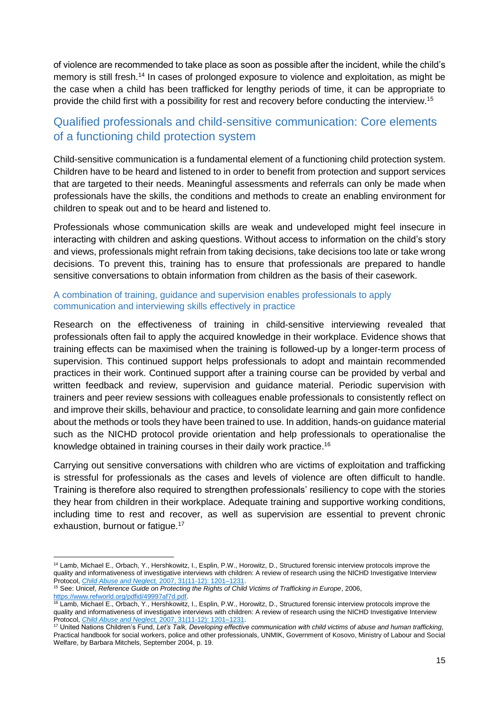of violence are recommended to take place as soon as possible after the incident, while the child's memory is still fresh.<sup>14</sup> In cases of prolonged exposure to violence and exploitation, as might be the case when a child has been trafficked for lengthy periods of time, it can be appropriate to provide the child first with a possibility for rest and recovery before conducting the interview.<sup>15</sup>

# <span id="page-14-0"></span>Qualified professionals and child-sensitive communication: Core elements of a functioning child protection system

Child-sensitive communication is a fundamental element of a functioning child protection system. Children have to be heard and listened to in order to benefit from protection and support services that are targeted to their needs. Meaningful assessments and referrals can only be made when professionals have the skills, the conditions and methods to create an enabling environment for children to speak out and to be heard and listened to.

Professionals whose communication skills are weak and undeveloped might feel insecure in interacting with children and asking questions. Without access to information on the child's story and views, professionals might refrain from taking decisions, take decisions too late or take wrong decisions. To prevent this, training has to ensure that professionals are prepared to handle sensitive conversations to obtain information from children as the basis of their casework.

### A combination of training, guidance and supervision enables professionals to apply communication and interviewing skills effectively in practice

Research on the effectiveness of training in child-sensitive interviewing revealed that professionals often fail to apply the acquired knowledge in their workplace. Evidence shows that training effects can be maximised when the training is followed-up by a longer-term process of supervision. This continued support helps professionals to adopt and maintain recommended practices in their work. Continued support after a training course can be provided by verbal and written feedback and review, supervision and guidance material. Periodic supervision with trainers and peer review sessions with colleagues enable professionals to consistently reflect on and improve their skills, behaviour and practice, to consolidate learning and gain more confidence about the methods or tools they have been trained to use. In addition, hands-on guidance material such as the NICHD protocol provide orientation and help professionals to operationalise the knowledge obtained in training courses in their daily work practice.<sup>16</sup>

Carrying out sensitive conversations with children who are victims of exploitation and trafficking is stressful for professionals as the cases and levels of violence are often difficult to handle. Training is therefore also required to strengthen professionals' resiliency to cope with the stories they hear from children in their workplace. Adequate training and supportive working conditions, including time to rest and recover, as well as supervision are essential to prevent chronic exhaustion, burnout or fatigue.<sup>17</sup>

 $\overline{a}$ <sup>14</sup> Lamb, Michael E., Orbach, Y., Hershkowitz, I., Esplin, P.W., Horowitz, D., Structured forensic interview protocols improve the quality and informativeness of investigative interviews with children: A review of research using the NICHD Investigative Interview Protocol, *Child Abuse and Neglect,* [2007, 31\(11-12\): 1201–1231.](https://www.ncbi.nlm.nih.gov/entrez/eutils/elink.fcgi?dbfrom=pubmed&retmode=ref&cmd=prlinks&id=18023872)

<sup>15</sup> See: Unicef, *Reference Guide on Protecting the Rights of Child Victims of Trafficking in Europe*, 2006, [https://www.refworld.org/pdfid/49997af7d.pdf.](https://www.refworld.org/pdfid/49997af7d.pdf)

<sup>&</sup>lt;sup>16</sup> Lamb, Michael E., Orbach, Y., Hershkowitz, I., Esplin, P.W., Horowitz, D., Structured forensic interview protocols improve the quality and informativeness of investigative interviews with children: A review of research using the NICHD Investigative Interview Protocol, *Child Abuse and Neglect,* [2007, 31\(11-12\): 1201–1231.](https://www.ncbi.nlm.nih.gov/entrez/eutils/elink.fcgi?dbfrom=pubmed&retmode=ref&cmd=prlinks&id=18023872)

<sup>17</sup> United Nations Children's Fund, *Let's Talk, Developing effective communication with child victims of abuse and human trafficking*, Practical handbook for social workers, police and other professionals, UNMIK, Government of Kosovo, Ministry of Labour and Social Welfare, by Barbara Mitchels, September 2004, p. 19.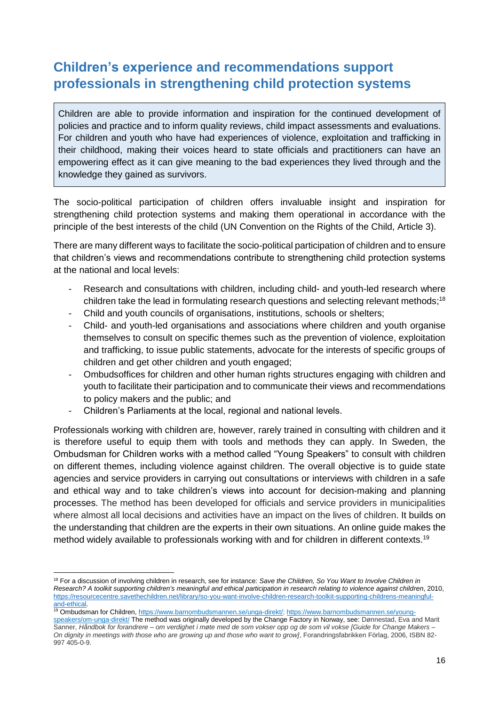# <span id="page-15-0"></span>**Children's experience and recommendations support professionals in strengthening child protection systems**

Children are able to provide information and inspiration for the continued development of policies and practice and to inform quality reviews, child impact assessments and evaluations. For children and youth who have had experiences of violence, exploitation and trafficking in their childhood, making their voices heard to state officials and practitioners can have an empowering effect as it can give meaning to the bad experiences they lived through and the knowledge they gained as survivors.

The socio-political participation of children offers invaluable insight and inspiration for strengthening child protection systems and making them operational in accordance with the principle of the best interests of the child (UN Convention on the Rights of the Child, Article 3).

There are many different ways to facilitate the socio-political participation of children and to ensure that children's views and recommendations contribute to strengthening child protection systems at the national and local levels:

- Research and consultations with children, including child- and youth-led research where children take the lead in formulating research questions and selecting relevant methods;<sup>18</sup>
- Child and youth councils of organisations, institutions, schools or shelters;
- Child- and youth-led organisations and associations where children and youth organise themselves to consult on specific themes such as the prevention of violence, exploitation and trafficking, to issue public statements, advocate for the interests of specific groups of children and get other children and youth engaged;
- Ombudsoffices for children and other human rights structures engaging with children and youth to facilitate their participation and to communicate their views and recommendations to policy makers and the public; and
- Children's Parliaments at the local, regional and national levels.

Professionals working with children are, however, rarely trained in consulting with children and it is therefore useful to equip them with tools and methods they can apply. In Sweden, the Ombudsman for Children works with a method called "Young Speakers" to consult with children on different themes, including violence against children. The overall objective is to guide state agencies and service providers in carrying out consultations or interviews with children in a safe and ethical way and to take children's views into account for decision-making and planning processes. The method has been developed for officials and service providers in municipalities where almost all local decisions and activities have an impact on the lives of children. It builds on the understanding that children are the experts in their own situations. An online guide makes the method widely available to professionals working with and for children in different contexts.<sup>19</sup>

 $\overline{a}$ <sup>18</sup> For a discussion of involving children in research, see for instance: *Save the Children, So You Want to Involve Children in Research? A toolkit supporting children's meaningful and ethical participation in research relating to violence against children*, 2010, [https://resourcecentre.savethechildren.net/library/so-you-want-involve-children-research-toolkit-supporting-childrens-meaningful](https://resourcecentre.savethechildren.net/library/so-you-want-involve-children-research-toolkit-supporting-childrens-meaningful-and-ethical)[and-ethical.](https://resourcecentre.savethechildren.net/library/so-you-want-involve-children-research-toolkit-supporting-childrens-meaningful-and-ethical)

<sup>19</sup> Ombudsman for Children[, https://www.barnombudsmannen.se/unga-direkt/;](https://www.barnombudsmannen.se/unga-direkt/) [https://www.barnombudsmannen.se/young](https://www.barnombudsmannen.se/young-speakers/om-unga-direkt/)[speakers/om-unga-direkt/](https://www.barnombudsmannen.se/young-speakers/om-unga-direkt/) The method was originally developed by the Change Factory in Norway, see: Dønnestad, Eva and Marit Sanner, *Håndbok for forandrere – om verdighet i møte med de som vokser opp og de som vil vokse [Guide for Change Makers – On dignity in meetings with those who are growing up and those who want to grow]*, Forandringsfabrikken Förlag, 2006, ISBN 82- 997 405-0-9.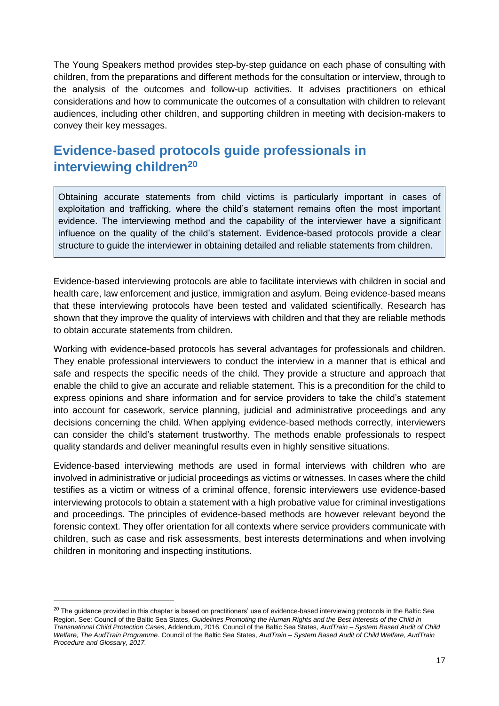The Young Speakers method provides step-by-step guidance on each phase of consulting with children, from the preparations and different methods for the consultation or interview, through to the analysis of the outcomes and follow-up activities. It advises practitioners on ethical considerations and how to communicate the outcomes of a consultation with children to relevant audiences, including other children, and supporting children in meeting with decision-makers to convey their key messages.

# <span id="page-16-0"></span>**Evidence-based protocols guide professionals in interviewing children<sup>20</sup>**

Obtaining accurate statements from child victims is particularly important in cases of exploitation and trafficking, where the child's statement remains often the most important evidence. The interviewing method and the capability of the interviewer have a significant influence on the quality of the child's statement. Evidence-based protocols provide a clear structure to guide the interviewer in obtaining detailed and reliable statements from children.

Evidence-based interviewing protocols are able to facilitate interviews with children in social and health care, law enforcement and justice, immigration and asylum. Being evidence-based means that these interviewing protocols have been tested and validated scientifically. Research has shown that they improve the quality of interviews with children and that they are reliable methods to obtain accurate statements from children.

Working with evidence-based protocols has several advantages for professionals and children. They enable professional interviewers to conduct the interview in a manner that is ethical and safe and respects the specific needs of the child. They provide a structure and approach that enable the child to give an accurate and reliable statement. This is a precondition for the child to express opinions and share information and for service providers to take the child's statement into account for casework, service planning, judicial and administrative proceedings and any decisions concerning the child. When applying evidence-based methods correctly, interviewers can consider the child's statement trustworthy. The methods enable professionals to respect quality standards and deliver meaningful results even in highly sensitive situations.

Evidence-based interviewing methods are used in formal interviews with children who are involved in administrative or judicial proceedings as victims or witnesses. In cases where the child testifies as a victim or witness of a criminal offence, forensic interviewers use evidence-based interviewing protocols to obtain a statement with a high probative value for criminal investigations and proceedings. The principles of evidence-based methods are however relevant beyond the forensic context. They offer orientation for all contexts where service providers communicate with children, such as case and risk assessments, best interests determinations and when involving children in monitoring and inspecting institutions.

 $\overline{\phantom{a}}$ 

<sup>&</sup>lt;sup>20</sup> The guidance provided in this chapter is based on practitioners' use of evidence-based interviewing protocols in the Baltic Sea Region. See: Council of the Baltic Sea States, *Guidelines Promoting the Human Rights and the Best Interests of the Child in Transnational Child Protection Cases*, Addendum, 2016. Council of the Baltic Sea States, *AudTrain – System Based Audit of Child Welfare, The AudTrain Programme*. Council of the Baltic Sea States, *AudTrain – System Based Audit of Child Welfare, AudTrain Procedure and Glossary, 2017.*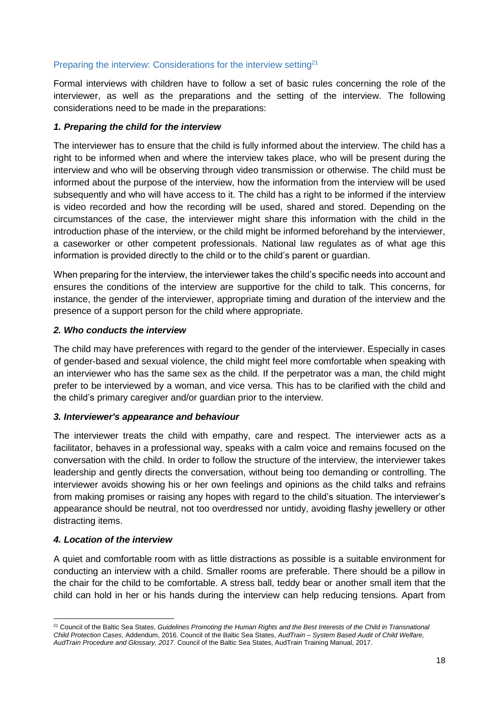# <span id="page-17-0"></span>Preparing the interview: Considerations for the interview setting<sup>21</sup>

Formal interviews with children have to follow a set of basic rules concerning the role of the interviewer, as well as the preparations and the setting of the interview. The following considerations need to be made in the preparations:

#### *1. Preparing the child for the interview*

The interviewer has to ensure that the child is fully informed about the interview. The child has a right to be informed when and where the interview takes place, who will be present during the interview and who will be observing through video transmission or otherwise. The child must be informed about the purpose of the interview, how the information from the interview will be used subsequently and who will have access to it. The child has a right to be informed if the interview is video recorded and how the recording will be used, shared and stored. Depending on the circumstances of the case, the interviewer might share this information with the child in the introduction phase of the interview, or the child might be informed beforehand by the interviewer, a caseworker or other competent professionals. National law regulates as of what age this information is provided directly to the child or to the child's parent or guardian.

When preparing for the interview, the interviewer takes the child's specific needs into account and ensures the conditions of the interview are supportive for the child to talk. This concerns, for instance, the gender of the interviewer, appropriate timing and duration of the interview and the presence of a support person for the child where appropriate.

### *2. Who conducts the interview*

The child may have preferences with regard to the gender of the interviewer. Especially in cases of gender-based and sexual violence, the child might feel more comfortable when speaking with an interviewer who has the same sex as the child. If the perpetrator was a man, the child might prefer to be interviewed by a woman, and vice versa. This has to be clarified with the child and the child's primary caregiver and/or guardian prior to the interview.

#### *3. Interviewer's appearance and behaviour*

The interviewer treats the child with empathy, care and respect. The interviewer acts as a facilitator, behaves in a professional way, speaks with a calm voice and remains focused on the conversation with the child. In order to follow the structure of the interview, the interviewer takes leadership and gently directs the conversation, without being too demanding or controlling. The interviewer avoids showing his or her own feelings and opinions as the child talks and refrains from making promises or raising any hopes with regard to the child's situation. The interviewer's appearance should be neutral, not too overdressed nor untidy, avoiding flashy jewellery or other distracting items.

#### *4. Location of the interview*

A quiet and comfortable room with as little distractions as possible is a suitable environment for conducting an interview with a child. Smaller rooms are preferable. There should be a pillow in the chair for the child to be comfortable. A stress ball, teddy bear or another small item that the child can hold in her or his hands during the interview can help reducing tensions. Apart from

 $\overline{\phantom{a}}$ <sup>21</sup> Council of the Baltic Sea States, *Guidelines Promoting the Human Rights and the Best Interests of the Child in Transnational Child Protection Cases*, Addendum, 2016. Council of the Baltic Sea States, *AudTrain – System Based Audit of Child Welfare, AudTrain Procedure and Glossary, 2017*. Council of the Baltic Sea States, AudTrain Training Manual, 2017.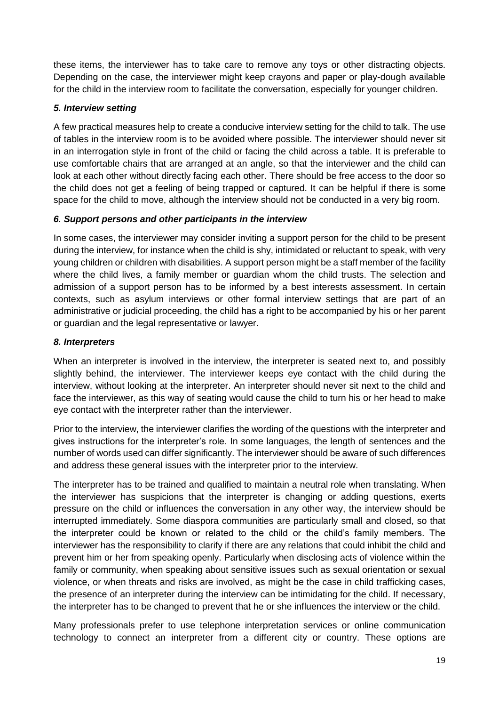these items, the interviewer has to take care to remove any toys or other distracting objects. Depending on the case, the interviewer might keep crayons and paper or play-dough available for the child in the interview room to facilitate the conversation, especially for younger children.

# *5. Interview setting*

A few practical measures help to create a conducive interview setting for the child to talk. The use of tables in the interview room is to be avoided where possible. The interviewer should never sit in an interrogation style in front of the child or facing the child across a table. It is preferable to use comfortable chairs that are arranged at an angle, so that the interviewer and the child can look at each other without directly facing each other. There should be free access to the door so the child does not get a feeling of being trapped or captured. It can be helpful if there is some space for the child to move, although the interview should not be conducted in a very big room.

# *6. Support persons and other participants in the interview*

In some cases, the interviewer may consider inviting a support person for the child to be present during the interview, for instance when the child is shy, intimidated or reluctant to speak, with very young children or children with disabilities. A support person might be a staff member of the facility where the child lives, a family member or guardian whom the child trusts. The selection and admission of a support person has to be informed by a best interests assessment. In certain contexts, such as asylum interviews or other formal interview settings that are part of an administrative or judicial proceeding, the child has a right to be accompanied by his or her parent or guardian and the legal representative or lawyer.

# *8. Interpreters*

When an interpreter is involved in the interview, the interpreter is seated next to, and possibly slightly behind, the interviewer. The interviewer keeps eye contact with the child during the interview, without looking at the interpreter. An interpreter should never sit next to the child and face the interviewer, as this way of seating would cause the child to turn his or her head to make eye contact with the interpreter rather than the interviewer.

Prior to the interview, the interviewer clarifies the wording of the questions with the interpreter and gives instructions for the interpreter's role. In some languages, the length of sentences and the number of words used can differ significantly. The interviewer should be aware of such differences and address these general issues with the interpreter prior to the interview.

The interpreter has to be trained and qualified to maintain a neutral role when translating. When the interviewer has suspicions that the interpreter is changing or adding questions, exerts pressure on the child or influences the conversation in any other way, the interview should be interrupted immediately. Some diaspora communities are particularly small and closed, so that the interpreter could be known or related to the child or the child's family members. The interviewer has the responsibility to clarify if there are any relations that could inhibit the child and prevent him or her from speaking openly. Particularly when disclosing acts of violence within the family or community, when speaking about sensitive issues such as sexual orientation or sexual violence, or when threats and risks are involved, as might be the case in child trafficking cases, the presence of an interpreter during the interview can be intimidating for the child. If necessary, the interpreter has to be changed to prevent that he or she influences the interview or the child.

Many professionals prefer to use telephone interpretation services or online communication technology to connect an interpreter from a different city or country. These options are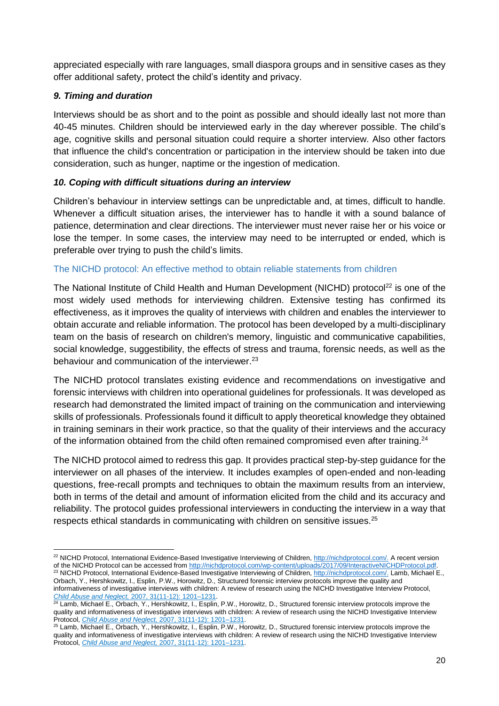appreciated especially with rare languages, small diaspora groups and in sensitive cases as they offer additional safety, protect the child's identity and privacy.

# *9. Timing and duration*

Interviews should be as short and to the point as possible and should ideally last not more than 40-45 minutes. Children should be interviewed early in the day wherever possible. The child's age, cognitive skills and personal situation could require a shorter interview. Also other factors that influence the child's concentration or participation in the interview should be taken into due consideration, such as hunger, naptime or the ingestion of medication.

### *10. Coping with difficult situations during an interview*

Children's behaviour in interview settings can be unpredictable and, at times, difficult to handle. Whenever a difficult situation arises, the interviewer has to handle it with a sound balance of patience, determination and clear directions. The interviewer must never raise her or his voice or lose the temper. In some cases, the interview may need to be interrupted or ended, which is preferable over trying to push the child's limits.

#### <span id="page-19-0"></span>The NICHD protocol: An effective method to obtain reliable statements from children

The National Institute of Child Health and Human Development (NICHD) protocol<sup>22</sup> is one of the most widely used methods for interviewing children. Extensive testing has confirmed its effectiveness, as it improves the quality of interviews with children and enables the interviewer to obtain accurate and reliable information. The protocol has been developed by a multi-disciplinary team on the basis of research on children's memory, linguistic and communicative capabilities, social knowledge, suggestibility, the effects of stress and trauma, forensic needs, as well as the behaviour and communication of the interviewer.<sup>23</sup>

The NICHD protocol translates existing evidence and recommendations on investigative and forensic interviews with children into operational guidelines for professionals. It was developed as research had demonstrated the limited impact of training on the communication and interviewing skills of professionals. Professionals found it difficult to apply theoretical knowledge they obtained in training seminars in their work practice, so that the quality of their interviews and the accuracy of the information obtained from the child often remained compromised even after training.<sup>24</sup>

The NICHD protocol aimed to redress this gap. It provides practical step-by-step guidance for the interviewer on all phases of the interview. It includes examples of open-ended and non-leading questions, free-recall prompts and techniques to obtain the maximum results from an interview, both in terms of the detail and amount of information elicited from the child and its accuracy and reliability. The protocol guides professional interviewers in conducting the interview in a way that respects ethical standards in communicating with children on sensitive issues.<sup>25</sup>

23 NICHD Protocol, International Evidence-Based Investigative Interviewing of Children[, http://nichdprotocol.com/.](http://nichdprotocol.com/) Lamb, Michael E., Orbach, Y., Hershkowitz, I., Esplin, P.W., Horowitz, D., Structured forensic interview protocols improve the quality and

 $\overline{\phantom{a}}$ <sup>22</sup> NICHD Protocol, International Evidence-Based Investigative Interviewing of Children[, http://nichdprotocol.com/.](http://nichdprotocol.com/) A recent version of the NICHD Protocol can be accessed fro[m http://nichdprotocol.com/wp-content/uploads/2017/09/InteractiveNICHDProtocol.pdf.](http://nichdprotocol.com/wp-content/uploads/2017/09/InteractiveNICHDProtocol.pdf) 

informativeness of investigative interviews with children: A review of research using the NICHD Investigative Interview Protocol, *Child Abuse and Neglect,* [2007, 31\(11-12\): 1201–1231.](https://www.ncbi.nlm.nih.gov/entrez/eutils/elink.fcgi?dbfrom=pubmed&retmode=ref&cmd=prlinks&id=18023872)  24 Lamb, Michael E., Orbach, Y., Hershkowitz, I., Esplin, P.W., Horowitz, D., Structured forensic interview protocols improve the

quality and informativeness of investigative interviews with children: A review of research using the NICHD Investigative Interview Protocol, *Child Abuse and Neglect,* [2007, 31\(11-12\): 1201–1231.](https://www.ncbi.nlm.nih.gov/entrez/eutils/elink.fcgi?dbfrom=pubmed&retmode=ref&cmd=prlinks&id=18023872) 

<sup>&</sup>lt;sup>25</sup> Lamb, Michael E., Orbach, Y., Hershkowitz, I., Esplin, P.W., Horowitz, D., Structured forensic interview protocols improve the quality and informativeness of investigative interviews with children: A review of research using the NICHD Investigative Interview Protocol, *Child Abuse and Neglect,* [2007, 31\(11-12\): 1201–1231.](https://www.ncbi.nlm.nih.gov/entrez/eutils/elink.fcgi?dbfrom=pubmed&retmode=ref&cmd=prlinks&id=18023872)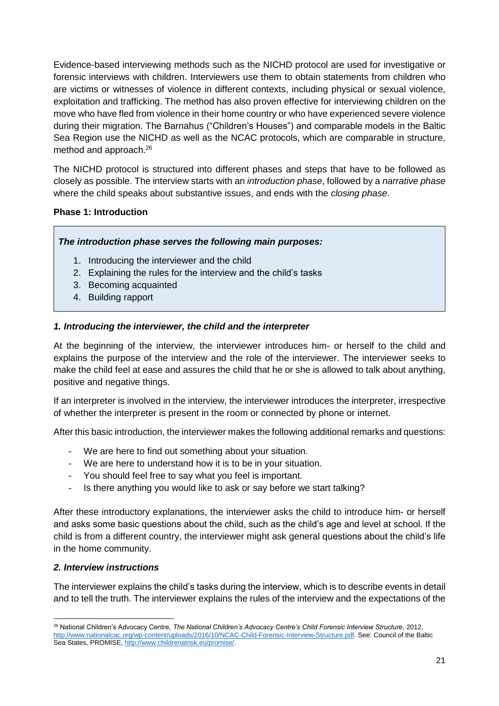Evidence-based interviewing methods such as the NICHD protocol are used for investigative or forensic interviews with children. Interviewers use them to obtain statements from children who are victims or witnesses of violence in different contexts, including physical or sexual violence, exploitation and trafficking. The method has also proven effective for interviewing children on the move who have fled from violence in their home country or who have experienced severe violence during their migration. The Barnahus ("Children's Houses") and comparable models in the Baltic Sea Region use the NICHD as well as the NCAC protocols, which are comparable in structure, method and approach.<sup>26</sup>

The NICHD protocol is structured into different phases and steps that have to be followed as closely as possible. The interview starts with an *introduction phase*, followed by a *narrative phase* where the child speaks about substantive issues, and ends with the *closing phase*.

# **Phase 1: Introduction**

# *The introduction phase serves the following main purposes:*

- 1. Introducing the interviewer and the child
- 2. Explaining the rules for the interview and the child's tasks
- 3. Becoming acquainted
- 4. Building rapport

# *1. Introducing the interviewer, the child and the interpreter*

At the beginning of the interview, the interviewer introduces him- or herself to the child and explains the purpose of the interview and the role of the interviewer. The interviewer seeks to make the child feel at ease and assures the child that he or she is allowed to talk about anything, positive and negative things.

If an interpreter is involved in the interview, the interviewer introduces the interpreter, irrespective of whether the interpreter is present in the room or connected by phone or internet.

After this basic introduction, the interviewer makes the following additional remarks and questions:

- We are here to find out something about your situation.
- We are here to understand how it is to be in your situation.
- You should feel free to say what you feel is important.
- Is there anything you would like to ask or say before we start talking?

After these introductory explanations, the interviewer asks the child to introduce him- or herself and asks some basic questions about the child, such as the child's age and level at school. If the child is from a different country, the interviewer might ask general questions about the child's life in the home community.

# *2. Interview instructions*

 $\overline{\phantom{a}}$ 

The interviewer explains the child's tasks during the interview, which is to describe events in detail and to tell the truth. The interviewer explains the rules of the interview and the expectations of the

<sup>26</sup> National Children's Advocacy Centre, *The National Children's Advocacy Centre's Child Forensic Interview Structure*, 2012, [http://www.nationalcac.org/wp-content/uploads/2016/10/NCAC-Child-Forensic-Interview-Structure.pdf.](http://www.nationalcac.org/wp-content/uploads/2016/10/NCAC-Child-Forensic-Interview-Structure.pdf) See: Council of the Baltic Sea States, PROMISE[, http://www.childrenatrisk.eu/promise/.](http://www.childrenatrisk.eu/promise/)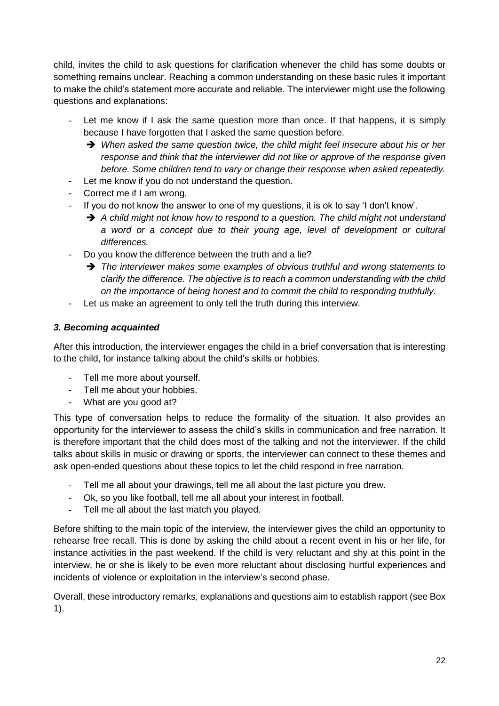child, invites the child to ask questions for clarification whenever the child has some doubts or something remains unclear. Reaching a common understanding on these basic rules it important to make the child's statement more accurate and reliable. The interviewer might use the following questions and explanations:

- Let me know if I ask the same question more than once. If that happens, it is simply because I have forgotten that I asked the same question before.
	- → When asked the same question twice, the child might feel insecure about his or her *response and think that the interviewer did not like or approve of the response given before. Some children tend to vary or change their response when asked repeatedly.*
- Let me know if you do not understand the question.
- Correct me if I am wrong.
- If you do not know the answer to one of my questions, it is ok to say 'I don't know'.
	- → A child might not know how to respond to a question. The child might not understand *a word or a concept due to their young age, level of development or cultural differences.*
- Do you know the difference between the truth and a lie?
	- *The interviewer makes some examples of obvious truthful and wrong statements to clarify the difference. The objective is to reach a common understanding with the child on the importance of being honest and to commit the child to responding truthfully.*
- Let us make an agreement to only tell the truth during this interview.

### *3. Becoming acquainted*

After this introduction, the interviewer engages the child in a brief conversation that is interesting to the child, for instance talking about the child's skills or hobbies.

- Tell me more about yourself.
- Tell me about your hobbies.
- What are you good at?

This type of conversation helps to reduce the formality of the situation. It also provides an opportunity for the interviewer to assess the child's skills in communication and free narration. It is therefore important that the child does most of the talking and not the interviewer. If the child talks about skills in music or drawing or sports, the interviewer can connect to these themes and ask open-ended questions about these topics to let the child respond in free narration.

- Tell me all about your drawings, tell me all about the last picture you drew.
- Ok, so you like football, tell me all about your interest in football.
- Tell me all about the last match you played.

Before shifting to the main topic of the interview, the interviewer gives the child an opportunity to rehearse free recall. This is done by asking the child about a recent event in his or her life, for instance activities in the past weekend. If the child is very reluctant and shy at this point in the interview, he or she is likely to be even more reluctant about disclosing hurtful experiences and incidents of violence or exploitation in the interview's second phase.

Overall, these introductory remarks, explanations and questions aim to establish rapport (se[e Box](#page-22-0) [1\)](#page-22-0).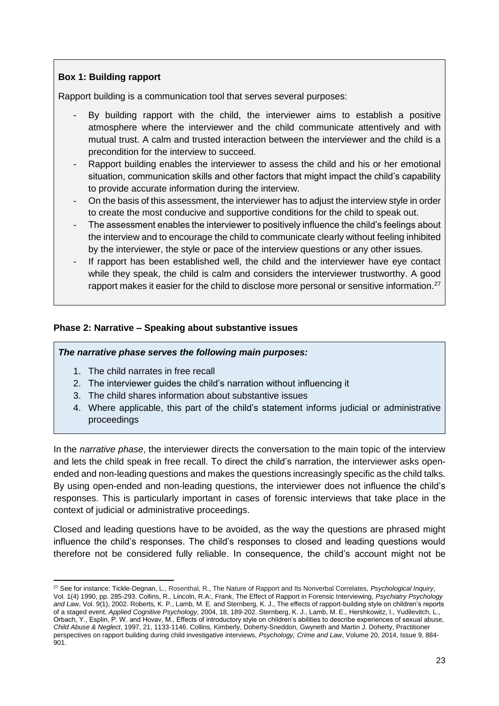# <span id="page-22-0"></span>**Box 1: Building rapport**

Rapport building is a communication tool that serves several purposes:

- By building rapport with the child, the interviewer aims to establish a positive atmosphere where the interviewer and the child communicate attentively and with mutual trust. A calm and trusted interaction between the interviewer and the child is a precondition for the interview to succeed.
- Rapport building enables the interviewer to assess the child and his or her emotional situation, communication skills and other factors that might impact the child's capability to provide accurate information during the interview.
- On the basis of this assessment, the interviewer has to adjust the interview style in order to create the most conducive and supportive conditions for the child to speak out.
- The assessment enables the interviewer to positively influence the child's feelings about the interview and to encourage the child to communicate clearly without feeling inhibited by the interviewer, the style or pace of the interview questions or any other issues.
- If rapport has been established well, the child and the interviewer have eye contact while they speak, the child is calm and considers the interviewer trustworthy. A good rapport makes it easier for the child to disclose more personal or sensitive information.<sup>27</sup>

# **Phase 2: Narrative – Speaking about substantive issues**

### *The narrative phase serves the following main purposes:*

- 1. The child narrates in free recall
- 2. The interviewer guides the child's narration without influencing it
- 3. The child shares information about substantive issues
- 4. Where applicable, this part of the child's statement informs judicial or administrative proceedings

In the *narrative phase*, the interviewer directs the conversation to the main topic of the interview and lets the child speak in free recall. To direct the child's narration, the interviewer asks openended and non-leading questions and makes the questions increasingly specific as the child talks. By using open-ended and non-leading questions, the interviewer does not influence the child's responses. This is particularly important in cases of forensic interviews that take place in the context of judicial or administrative proceedings.

Closed and leading questions have to be avoided, as the way the questions are phrased might influence the child's responses. The child's responses to closed and leading questions would therefore not be considered fully reliable. In consequence, the child's account might not be

 $\overline{\phantom{a}}$ <sup>27</sup> See for instance: Tickle-Degnan, L., Rosenthal, R., The Nature of Rapport and Its Nonverbal Correlates, *[Psychological Inquiry](https://www.researchgate.net/journal/1047-840X_Psychological_Inquiry)*, Vol*.* 1(4) 1990, pp. 285-293. Collins, R., Lincoln, R.A:, Frank, The Effect of Rapport in Forensic Interviewing, *[Psychiatry Psychology](https://www.researchgate.net/journal/1321-8719_Psychiatry_Psychology_and_Law)  [and Law](https://www.researchgate.net/journal/1321-8719_Psychiatry_Psychology_and_Law)*, Vol. 9(1), 2002. Roberts, K. P., Lamb, M. E. and Sternberg, K. J., The effects of rapport-building style on children's reports of a staged event, *Applied Cognitive Psychology*, 2004, 18, 189-202. Sternberg, K. J., Lamb, M. E., Hershkowitz, I., Yudilevitch, L., Orbach, Y., Esplin, P. W. and Hovav, M., Effects of introductory style on children's abilities to describe experiences of sexual abuse, *Child Abuse & Neglect*, 1997, 21, 1133-1146. Collins, Kimberly, Doherty-Sneddon, Gwyneth and Martin J. Doherty, Practitioner perspectives on rapport building during child investigative interviews, *Psychology, Crime and Law*, Volume 20, 2014, Issue 9, 884- 901.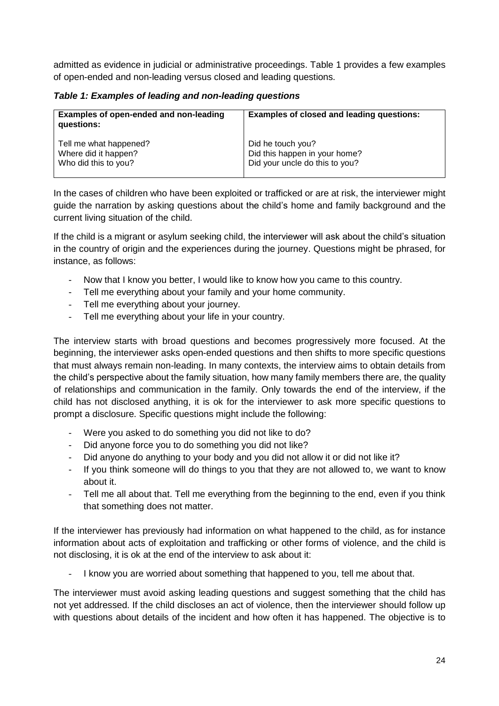admitted as evidence in judicial or administrative proceedings. [Table 1](#page-23-0) provides a few examples of open-ended and non-leading versus closed and leading questions.

<span id="page-23-0"></span>*Table 1: Examples of leading and non-leading questions*

| Examples of open-ended and non-leading<br>questions: | <b>Examples of closed and leading questions:</b> |
|------------------------------------------------------|--------------------------------------------------|
| Tell me what happened?                               | Did he touch you?                                |
| Where did it happen?                                 | Did this happen in your home?                    |
| Who did this to you?                                 | Did your uncle do this to you?                   |

In the cases of children who have been exploited or trafficked or are at risk, the interviewer might guide the narration by asking questions about the child's home and family background and the current living situation of the child.

If the child is a migrant or asylum seeking child, the interviewer will ask about the child's situation in the country of origin and the experiences during the journey. Questions might be phrased, for instance, as follows:

- Now that I know you better, I would like to know how you came to this country.
- Tell me everything about your family and your home community.
- Tell me everything about your journey.
- Tell me everything about your life in your country.

The interview starts with broad questions and becomes progressively more focused. At the beginning, the interviewer asks open-ended questions and then shifts to more specific questions that must always remain non-leading. In many contexts, the interview aims to obtain details from the child's perspective about the family situation, how many family members there are, the quality of relationships and communication in the family. Only towards the end of the interview, if the child has not disclosed anything, it is ok for the interviewer to ask more specific questions to prompt a disclosure. Specific questions might include the following:

- Were you asked to do something you did not like to do?
- Did anyone force you to do something you did not like?
- Did anyone do anything to your body and you did not allow it or did not like it?
- If you think someone will do things to you that they are not allowed to, we want to know about it.
- Tell me all about that. Tell me everything from the beginning to the end, even if you think that something does not matter.

If the interviewer has previously had information on what happened to the child, as for instance information about acts of exploitation and trafficking or other forms of violence, and the child is not disclosing, it is ok at the end of the interview to ask about it:

I know you are worried about something that happened to you, tell me about that.

The interviewer must avoid asking leading questions and suggest something that the child has not yet addressed. If the child discloses an act of violence, then the interviewer should follow up with questions about details of the incident and how often it has happened. The objective is to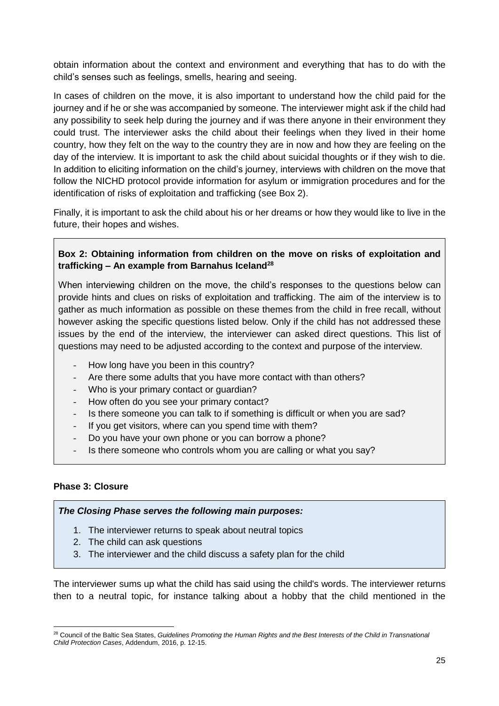obtain information about the context and environment and everything that has to do with the child's senses such as feelings, smells, hearing and seeing.

In cases of children on the move, it is also important to understand how the child paid for the journey and if he or she was accompanied by someone. The interviewer might ask if the child had any possibility to seek help during the journey and if was there anyone in their environment they could trust. The interviewer asks the child about their feelings when they lived in their home country, how they felt on the way to the country they are in now and how they are feeling on the day of the interview. It is important to ask the child about suicidal thoughts or if they wish to die. In addition to eliciting information on the child's journey, interviews with children on the move that follow the NICHD protocol provide information for asylum or immigration procedures and for the identification of risks of exploitation and trafficking (see [Box 2\)](#page-24-0).

Finally, it is important to ask the child about his or her dreams or how they would like to live in the future, their hopes and wishes.

# <span id="page-24-0"></span>**Box 2: Obtaining information from children on the move on risks of exploitation and trafficking – An example from Barnahus Iceland<sup>28</sup>**

When interviewing children on the move, the child's responses to the questions below can provide hints and clues on risks of exploitation and trafficking. The aim of the interview is to gather as much information as possible on these themes from the child in free recall, without however asking the specific questions listed below. Only if the child has not addressed these issues by the end of the interview, the interviewer can asked direct questions. This list of questions may need to be adjusted according to the context and purpose of the interview.

- How long have you been in this country?
- Are there some adults that you have more contact with than others?
- Who is your primary contact or guardian?
- How often do you see your primary contact?
- Is there someone you can talk to if something is difficult or when you are sad?
- If you get visitors, where can you spend time with them?
- Do you have your own phone or you can borrow a phone?
- Is there someone who controls whom you are calling or what you say?

### **Phase 3: Closure**

*The Closing Phase serves the following main purposes:* 

- 1. The interviewer returns to speak about neutral topics
- 2. The child can ask questions
- 3. The interviewer and the child discuss a safety plan for the child

The interviewer sums up what the child has said using the child's words. The interviewer returns then to a neutral topic, for instance talking about a hobby that the child mentioned in the

 $\overline{a}$ <sup>28</sup> Council of the Baltic Sea States, *Guidelines Promoting the Human Rights and the Best Interests of the Child in Transnational Child Protection Cases*, Addendum, 2016, p. 12-15.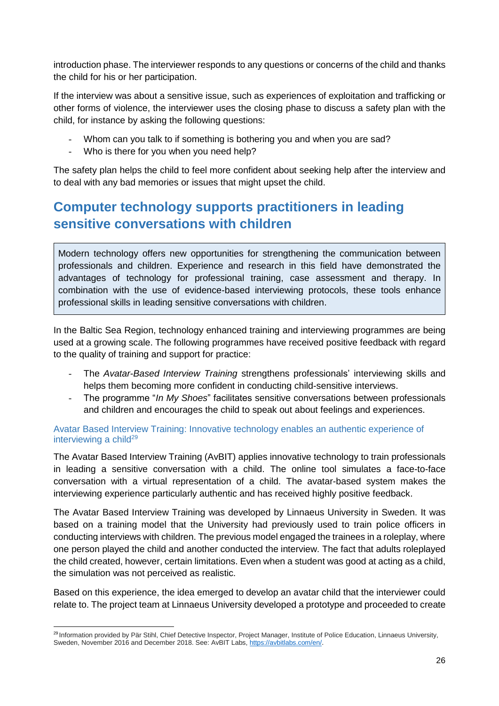introduction phase. The interviewer responds to any questions or concerns of the child and thanks the child for his or her participation.

If the interview was about a sensitive issue, such as experiences of exploitation and trafficking or other forms of violence, the interviewer uses the closing phase to discuss a safety plan with the child, for instance by asking the following questions:

- Whom can you talk to if something is bothering you and when you are sad?
- Who is there for you when you need help?

The safety plan helps the child to feel more confident about seeking help after the interview and to deal with any bad memories or issues that might upset the child.

# <span id="page-25-0"></span>**Computer technology supports practitioners in leading sensitive conversations with children**

Modern technology offers new opportunities for strengthening the communication between professionals and children. Experience and research in this field have demonstrated the advantages of technology for professional training, case assessment and therapy. In combination with the use of evidence-based interviewing protocols, these tools enhance professional skills in leading sensitive conversations with children.

In the Baltic Sea Region, technology enhanced training and interviewing programmes are being used at a growing scale. The following programmes have received positive feedback with regard to the quality of training and support for practice:

- The *Avatar-Based Interview Training* strengthens professionals' interviewing skills and helps them becoming more confident in conducting child-sensitive interviews.
- The programme "*In My Shoes*" facilitates sensitive conversations between professionals and children and encourages the child to speak out about feelings and experiences.

### <span id="page-25-1"></span>Avatar Based Interview Training: Innovative technology enables an authentic experience of interviewing a child $^{29}$

The Avatar Based Interview Training (AvBIT) applies innovative technology to train professionals in leading a sensitive conversation with a child. The online tool simulates a face-to-face conversation with a virtual representation of a child. The avatar-based system makes the interviewing experience particularly authentic and has received highly positive feedback.

The Avatar Based Interview Training was developed by Linnaeus University in Sweden. It was based on a training model that the University had previously used to train police officers in conducting interviews with children. The previous model engaged the trainees in a roleplay, where one person played the child and another conducted the interview. The fact that adults roleplayed the child created, however, certain limitations. Even when a student was good at acting as a child, the simulation was not perceived as realistic.

Based on this experience, the idea emerged to develop an avatar child that the interviewer could relate to. The project team at Linnaeus University developed a prototype and proceeded to create

 $\overline{a}$ <sup>29</sup> Information provided by Pär Stihl, Chief Detective Inspector, Project Manager, Institute of Police Education, Linnaeus University, Sweden, November 2016 and December 2018. See: AvBIT Labs[, https://avbitlabs.com/en/.](https://avbitlabs.com/en/)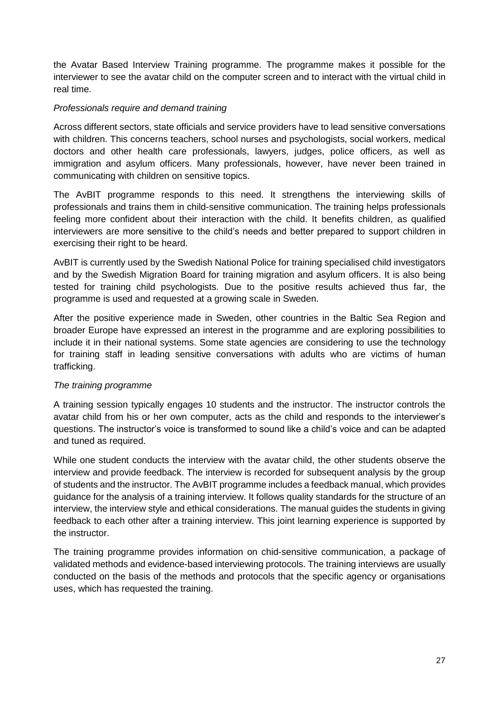the Avatar Based Interview Training programme. The programme makes it possible for the interviewer to see the avatar child on the computer screen and to interact with the virtual child in real time.

# *Professionals require and demand training*

Across different sectors, state officials and service providers have to lead sensitive conversations with children. This concerns teachers, school nurses and psychologists, social workers, medical doctors and other health care professionals, lawyers, judges, police officers, as well as immigration and asylum officers. Many professionals, however, have never been trained in communicating with children on sensitive topics.

The AvBIT programme responds to this need. It strengthens the interviewing skills of professionals and trains them in child-sensitive communication. The training helps professionals feeling more confident about their interaction with the child. It benefits children, as qualified interviewers are more sensitive to the child's needs and better prepared to support children in exercising their right to be heard.

AvBIT is currently used by the Swedish National Police for training specialised child investigators and by the Swedish Migration Board for training migration and asylum officers. It is also being tested for training child psychologists. Due to the positive results achieved thus far, the programme is used and requested at a growing scale in Sweden.

After the positive experience made in Sweden, other countries in the Baltic Sea Region and broader Europe have expressed an interest in the programme and are exploring possibilities to include it in their national systems. Some state agencies are considering to use the technology for training staff in leading sensitive conversations with adults who are victims of human trafficking.

#### *The training programme*

A training session typically engages 10 students and the instructor. The instructor controls the avatar child from his or her own computer, acts as the child and responds to the interviewer's questions. The instructor's voice is transformed to sound like a child's voice and can be adapted and tuned as required.

While one student conducts the interview with the avatar child, the other students observe the interview and provide feedback. The interview is recorded for subsequent analysis by the group of students and the instructor. The AvBIT programme includes a feedback manual, which provides guidance for the analysis of a training interview. It follows quality standards for the structure of an interview, the interview style and ethical considerations. The manual guides the students in giving feedback to each other after a training interview. This joint learning experience is supported by the instructor.

The training programme provides information on chid-sensitive communication, a package of validated methods and evidence-based interviewing protocols. The training interviews are usually conducted on the basis of the methods and protocols that the specific agency or organisations uses, which has requested the training.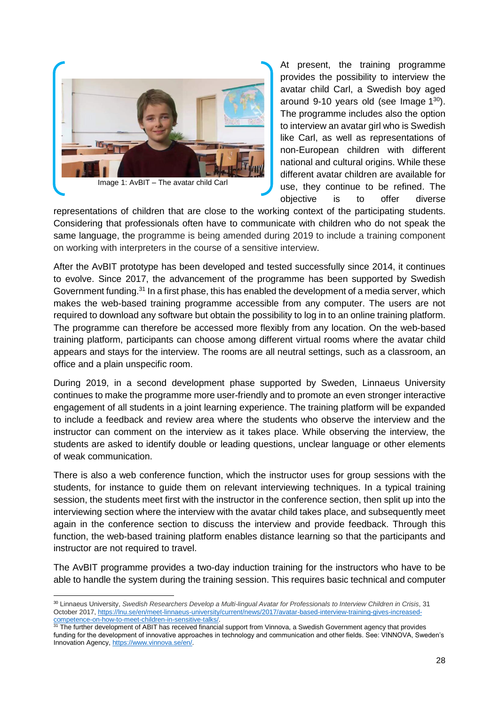

At present, the training programme provides the possibility to interview the avatar child Carl, a Swedish boy aged around 9-10 years old (see Image  $1^{30}$ ). The programme includes also the option to interview an avatar girl who is Swedish like Carl, as well as representations of non-European children with different national and cultural origins. While these different avatar children are available for use, they continue to be refined. The objective is to offer diverse

representations of children that are close to the working context of the participating students. Considering that professionals often have to communicate with children who do not speak the same language, the programme is being amended during 2019 to include a training component on working with interpreters in the course of a sensitive interview.

After the AvBIT prototype has been developed and tested successfully since 2014, it continues to evolve. Since 2017, the advancement of the programme has been supported by Swedish Government funding.<sup>31</sup> In a first phase, this has enabled the development of a media server, which makes the web-based training programme accessible from any computer. The users are not required to download any software but obtain the possibility to log in to an online training platform. The programme can therefore be accessed more flexibly from any location. On the web-based training platform, participants can choose among different virtual rooms where the avatar child appears and stays for the interview. The rooms are all neutral settings, such as a classroom, an office and a plain unspecific room.

During 2019, in a second development phase supported by Sweden, Linnaeus University continues to make the programme more user-friendly and to promote an even stronger interactive engagement of all students in a joint learning experience. The training platform will be expanded to include a feedback and review area where the students who observe the interview and the instructor can comment on the interview as it takes place. While observing the interview, the students are asked to identify double or leading questions, unclear language or other elements of weak communication.

There is also a web conference function, which the instructor uses for group sessions with the students, for instance to guide them on relevant interviewing techniques. In a typical training session, the students meet first with the instructor in the conference section, then split up into the interviewing section where the interview with the avatar child takes place, and subsequently meet again in the conference section to discuss the interview and provide feedback. Through this function, the web-based training platform enables distance learning so that the participants and instructor are not required to travel.

The AvBIT programme provides a two-day induction training for the instructors who have to be able to handle the system during the training session. This requires basic technical and computer

 $\overline{\phantom{a}}$ 

<sup>30</sup> Linnaeus University, *Swedish Researchers Develop a Multi-lingual Avatar for Professionals to Interview Children in Crisis*, 31 October 2017[, https://lnu.se/en/meet-linnaeus-university/current/news/2017/avatar-based-interview-training-gives-increased](https://lnu.se/en/meet-linnaeus-university/current/news/2017/avatar-based-interview-training-gives-increased-competence-on-how-to-meet-children-in-sensitive-talks/)[competence-on-how-to-meet-children-in-sensitive-talks/.](https://lnu.se/en/meet-linnaeus-university/current/news/2017/avatar-based-interview-training-gives-increased-competence-on-how-to-meet-children-in-sensitive-talks/)

<sup>&</sup>lt;sup>31</sup> The further development of ABIT has received financial support from Vinnova, a Swedish Government agency that provides funding for the development of innovative approaches in technology and communication and other fields. See: VINNOVA, Sweden's Innovation Agency, [https://www.vinnova.se/en/.](https://www.vinnova.se/en/)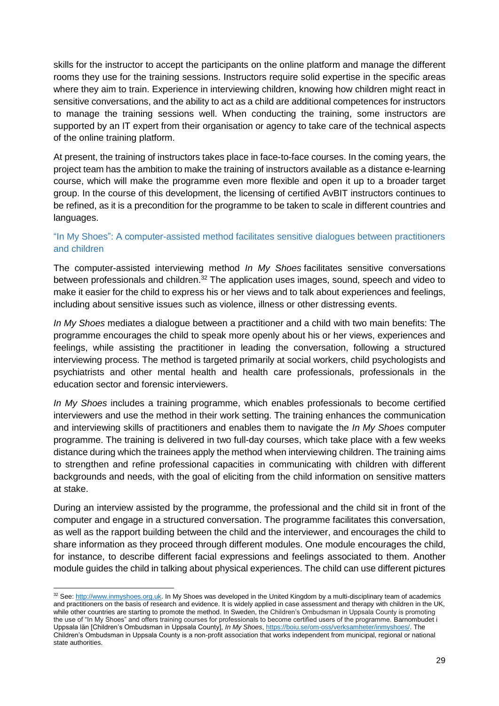skills for the instructor to accept the participants on the online platform and manage the different rooms they use for the training sessions. Instructors require solid expertise in the specific areas where they aim to train. Experience in interviewing children, knowing how children might react in sensitive conversations, and the ability to act as a child are additional competences for instructors to manage the training sessions well. When conducting the training, some instructors are supported by an IT expert from their organisation or agency to take care of the technical aspects of the online training platform.

At present, the training of instructors takes place in face-to-face courses. In the coming years, the project team has the ambition to make the training of instructors available as a distance e-learning course, which will make the programme even more flexible and open it up to a broader target group. In the course of this development, the licensing of certified AvBIT instructors continues to be refined, as it is a precondition for the programme to be taken to scale in different countries and languages.

# <span id="page-28-0"></span>"In My Shoes": A computer-assisted method facilitates sensitive dialogues between practitioners and children

The computer-assisted interviewing method *In My Shoes* facilitates sensitive conversations between professionals and children.<sup>32</sup> The application uses images, sound, speech and video to make it easier for the child to express his or her views and to talk about experiences and feelings, including about sensitive issues such as violence, illness or other distressing events.

*In My Shoes* mediates a dialogue between a practitioner and a child with two main benefits: The programme encourages the child to speak more openly about his or her views, experiences and feelings, while assisting the practitioner in leading the conversation, following a structured interviewing process. The method is targeted primarily at social workers, child psychologists and psychiatrists and other mental health and health care professionals, professionals in the education sector and forensic interviewers.

*In My Shoes* includes a training programme, which enables professionals to become certified interviewers and use the method in their work setting. The training enhances the communication and interviewing skills of practitioners and enables them to navigate the *In My Shoes* computer programme. The training is delivered in two full-day courses, which take place with a few weeks distance during which the trainees apply the method when interviewing children. The training aims to strengthen and refine professional capacities in communicating with children with different backgrounds and needs, with the goal of eliciting from the child information on sensitive matters at stake.

During an interview assisted by the programme, the professional and the child sit in front of the computer and engage in a structured conversation. The programme facilitates this conversation, as well as the rapport building between the child and the interviewer, and encourages the child to share information as they proceed through different modules. One module encourages the child, for instance, to describe different facial expressions and feelings associated to them. Another module guides the child in talking about physical experiences. The child can use different pictures

 $\overline{a}$ 

<sup>&</sup>lt;sup>32</sup> See[: http://www.inmyshoes.org.uk.](http://www.inmyshoes.org.uk/) In My Shoes was developed in the United Kingdom by a multi-disciplinary team of academics and practitioners on the basis of research and evidence. It is widely applied in case assessment and therapy with children in the UK, while other countries are starting to promote the method. In Sweden, the Children's Ombudsman in Uppsala County is promoting the use of "In My Shoes" and offers training courses for professionals to become certified users of the programme. Barnombudet i Uppsala län [Children's Ombudsman in Uppsala County], *In My Shoes*[, https://boiu.se/om-oss/verksamheter/inmyshoes/.](https://boiu.se/om-oss/verksamheter/inmyshoes/) The Children's Ombudsman in Uppsala County is a non-profit association that works independent from municipal, regional or national state authorities.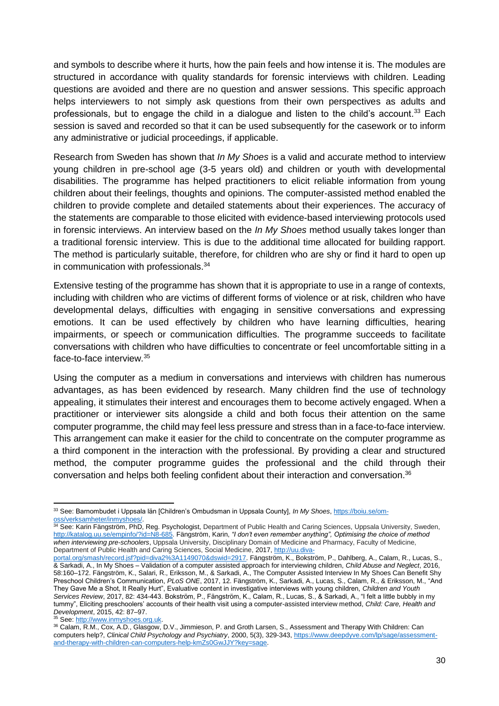and symbols to describe where it hurts, how the pain feels and how intense it is. The modules are structured in accordance with quality standards for forensic interviews with children. Leading questions are avoided and there are no question and answer sessions. This specific approach helps interviewers to not simply ask questions from their own perspectives as adults and professionals, but to engage the child in a dialogue and listen to the child's account.<sup>33</sup> Each session is saved and recorded so that it can be used subsequently for the casework or to inform any administrative or judicial proceedings, if applicable.

Research from Sweden has shown that *In My Shoes* is a valid and accurate method to interview young children in pre-school age (3-5 years old) and children or youth with developmental disabilities. The programme has helped practitioners to elicit reliable information from young children about their feelings, thoughts and opinions. The computer-assisted method enabled the children to provide complete and detailed statements about their experiences. The accuracy of the statements are comparable to those elicited with evidence-based interviewing protocols used in forensic interviews. An interview based on the *In My Shoes* method usually takes longer than a traditional forensic interview. This is due to the additional time allocated for building rapport. The method is particularly suitable, therefore, for children who are shy or find it hard to open up in communication with professionals.<sup>34</sup>

Extensive testing of the programme has shown that it is appropriate to use in a range of contexts, including with children who are victims of different forms of violence or at risk, children who have developmental delays, difficulties with engaging in sensitive conversations and expressing emotions. It can be used effectively by children who have learning difficulties, hearing impairments, or speech or communication difficulties. The programme succeeds to facilitate conversations with children who have difficulties to concentrate or feel uncomfortable sitting in a face-to-face interview.<sup>35</sup>

Using the computer as a medium in conversations and interviews with children has numerous advantages, as has been evidenced by research. Many children find the use of technology appealing, it stimulates their interest and encourages them to become actively engaged. When a practitioner or interviewer sits alongside a child and both focus their attention on the same computer programme, the child may feel less pressure and stress than in a face-to-face interview. This arrangement can make it easier for the child to concentrate on the computer programme as a third component in the interaction with the professional. By providing a clear and structured method, the computer programme guides the professional and the child through their conversation and helps both feeling confident about their interaction and conversation.<sup>36</sup>

l <sup>33</sup> See: Barnombudet i Uppsala län [Children's Ombudsman in Uppsala County], *In My Shoes*[, https://boiu.se/om](https://boiu.se/om-oss/verksamheter/inmyshoes/)[oss/verksamheter/inmyshoes/.](https://boiu.se/om-oss/verksamheter/inmyshoes/)

<sup>34</sup> See: Karin Fängström, PhD, Reg. Psychologist, Department of Public Health and Caring Sciences, Uppsala University, Sweden, [http://katalog.uu.se/empinfo/?id=N8-685.](http://katalog.uu.se/empinfo/?id=N8-685) Fängström, Karin, *"I don't even remember anything", Optimising the choice of method when interviewing pre-schoolers*, Uppsala University, Disciplinary Domain of Medicine and Pharmacy, Faculty of Medicine, Department of Public Health and Caring Sciences, Social Medicine, 2017, [http://uu.diva-](http://uu.diva-portal.org/smash/record.jsf?pid=diva2%3A1149070&dswid=2917)

[portal.org/smash/record.jsf?pid=diva2%3A1149070&dswid=2917.](http://uu.diva-portal.org/smash/record.jsf?pid=diva2%3A1149070&dswid=2917) Fängström, K., Bokström, P., Dahlberg, A., Calam, R., Lucas, S., & Sarkadi, A., In My Shoes – Validation of a computer assisted approach for interviewing children, *Child Abuse and Neglect*, 2016, 58:160–172. Fängström, K., Salari, R., Eriksson, M., & Sarkadi, A., The Computer Assisted Interview In My Shoes Can Benefit Shy Preschool Children's Communication, *PLoS ONE*, 2017, 12. Fängström, K., Sarkadi, A., Lucas, S., Calam, R., & Eriksson, M., "And They Gave Me a Shot, It Really Hurt", Evaluative content in investigative interviews with young children, *Children and Youth Services Review*, 2017, 82: 434-443. Bokström, P., Fängström, K., Calam, R., Lucas, S., & Sarkadi, A., "I felt a little bubbly in my tummy", Eliciting preschoolers' accounts of their health visit using a computer-assisted interview method, *Child: Care, Health and Development*, 2015, 42: 87–97.

<sup>35</sup> See[: http://www.inmyshoes.org.uk.](http://www.inmyshoes.org.uk/)

<sup>36</sup> Calam, R.M., Cox, A.D., Glasgow, D.V., Jimmieson, P. and Groth Larsen, S., Assessment and Therapy With Children: Can computers help?, *Clinical Child Psychology and Psychiatry*, 2000, 5(3), 329-343[, https://www.deepdyve.com/lp/sage/assessment](https://www.deepdyve.com/lp/sage/assessment-and-therapy-with-children-can-computers-help-kmZs0GwJJY?key=sage)[and-therapy-with-children-can-computers-help-kmZs0GwJJY?key=sage.](https://www.deepdyve.com/lp/sage/assessment-and-therapy-with-children-can-computers-help-kmZs0GwJJY?key=sage)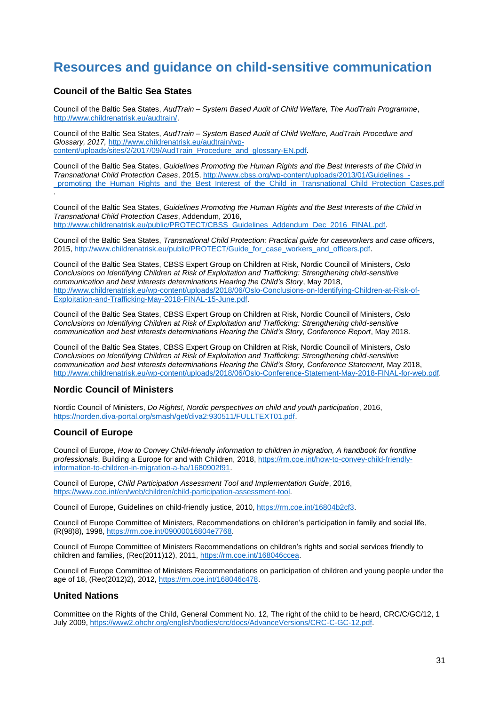# <span id="page-30-0"></span>**Resources and guidance on child-sensitive communication**

#### **Council of the Baltic Sea States**

Council of the Baltic Sea States, *AudTrain – System Based Audit of Child Welfare, The AudTrain Programme*, [http://www.childrenatrisk.eu/audtrain/.](http://www.childrenatrisk.eu/audtrain/)

Council of the Baltic Sea States, *AudTrain – System Based Audit of Child Welfare, AudTrain Procedure and Glossary, 2017,* [http://www.childrenatrisk.eu/audtrain/wp](http://www.childrenatrisk.eu/audtrain/wp-content/uploads/sites/2/2017/09/AudTrain_Procedure_and_glossary-EN.pdf)[content/uploads/sites/2/2017/09/AudTrain\\_Procedure\\_and\\_glossary-EN.pdf.](http://www.childrenatrisk.eu/audtrain/wp-content/uploads/sites/2/2017/09/AudTrain_Procedure_and_glossary-EN.pdf)

Council of the Baltic Sea States, *Guidelines Promoting the Human Rights and the Best Interests of the Child in Transnational Child Protection Cases*, 2015[, http://www.cbss.org/wp-content/uploads/2013/01/Guidelines\\_](http://www.cbss.org/wp-content/uploads/2013/01/Guidelines_-_promoting_the_Human_Rights_and_the_Best_Interest_of_the_Child_in_Transnational_Child_Protection_Cases.pdf) promoting the Human Rights and the Best Interest of the Child in Transnational Child Protection Cases.pdf

Council of the Baltic Sea States, *Guidelines Promoting the Human Rights and the Best Interests of the Child in Transnational Child Protection Cases*, Addendum, 2016, [http://www.childrenatrisk.eu/public/PROTECT/CBSS\\_Guidelines\\_Addendum\\_Dec\\_2016\\_FINAL.pdf.](http://www.childrenatrisk.eu/public/PROTECT/CBSS_Guidelines_Addendum_Dec_2016_FINAL.pdf)

Council of the Baltic Sea States, *Transnational Child Protection: Practical guide for caseworkers and case officers*, 2015, [http://www.childrenatrisk.eu/public/PROTECT/Guide\\_for\\_case\\_workers\\_and\\_officers.pdf.](http://www.childrenatrisk.eu/public/PROTECT/Guide_for_case_workers_and_officers.pdf)

Council of the Baltic Sea States, CBSS Expert Group on Children at Risk, Nordic Council of Ministers, *Oslo Conclusions on Identifying Children at Risk of Exploitation and Trafficking: Strengthening child-sensitive communication and best interests determinations Hearing the Child's Story*, May 2018, [http://www.childrenatrisk.eu/wp-content/uploads/2018/06/Oslo-Conclusions-on-Identifying-Children-at-Risk-of-](http://www.childrenatrisk.eu/wp-content/uploads/2018/06/Oslo-Conclusions-on-Identifying-Children-at-Risk-of-Exploitation-and-Trafficking-May-2018-FINAL-15-June.pdf)[Exploitation-and-Trafficking-May-2018-FINAL-15-June.pdf.](http://www.childrenatrisk.eu/wp-content/uploads/2018/06/Oslo-Conclusions-on-Identifying-Children-at-Risk-of-Exploitation-and-Trafficking-May-2018-FINAL-15-June.pdf)

Council of the Baltic Sea States, CBSS Expert Group on Children at Risk, Nordic Council of Ministers, *Oslo Conclusions on Identifying Children at Risk of Exploitation and Trafficking: Strengthening child-sensitive communication and best interests determinations Hearing the Child's Story, Conference Report*, May 2018.

Council of the Baltic Sea States, CBSS Expert Group on Children at Risk, Nordic Council of Ministers, *Oslo Conclusions on Identifying Children at Risk of Exploitation and Trafficking: Strengthening child-sensitive communication and best interests determinations Hearing the Child's Story, Conference Statement*, May 2018, [http://www.childrenatrisk.eu/wp-content/uploads/2018/06/Oslo-Conference-Statement-May-2018-FINAL-for-web.pdf.](http://www.childrenatrisk.eu/wp-content/uploads/2018/06/Oslo-Conference-Statement-May-2018-FINAL-for-web.pdf)

#### **Nordic Council of Ministers**

Nordic Council of Ministers, *Do Rights!, Nordic perspectives on child and youth participation*, 2016, [https://norden.diva-portal.org/smash/get/diva2:930511/FULLTEXT01.pdf.](https://norden.diva-portal.org/smash/get/diva2:930511/FULLTEXT01.pdf)

#### **Council of Europe**

.

Council of Europe, *How to Convey Child-friendly information to children in migration, A handbook for frontline professionals*, Building a Europe for and with Children, 2018, [https://rm.coe.int/how-to-convey-child-friendly](https://rm.coe.int/how-to-convey-child-friendly-information-to-children-in-migration-a-ha/1680902f91)[information-to-children-in-migration-a-ha/1680902f91.](https://rm.coe.int/how-to-convey-child-friendly-information-to-children-in-migration-a-ha/1680902f91)

Council of Europe, *Child Participation Assessment Tool and Implementation Guide*, 2016, [https://www.coe.int/en/web/children/child-participation-assessment-tool.](https://www.coe.int/en/web/children/child-participation-assessment-tool)

Council of Europe, Guidelines on child-friendly justice, 2010[, https://rm.coe.int/16804b2cf3.](https://rm.coe.int/16804b2cf3)

Council of Europe Committee of Ministers, Recommendations on children's participation in family and social life, (R(98)8), 1998[, https://rm.coe.int/09000016804e7768.](https://rm.coe.int/09000016804e7768)

Council of Europe Committee of Ministers Recommendations on children's rights and social services friendly to children and families, (Rec(2011)12), 2011, [https://rm.coe.int/168046ccea.](https://rm.coe.int/168046ccea)

Council of Europe Committee of Ministers Recommendations on participation of children and young people under the age of 18, (Rec(2012)2), 2012, [https://rm.coe.int/168046c478.](https://rm.coe.int/168046c478)

#### **United Nations**

Committee on the Rights of the Child, General Comment No. 12, The right of the child to be heard, CRC/C/GC/12, 1 July 2009, [https://www2.ohchr.org/english/bodies/crc/docs/AdvanceVersions/CRC-C-GC-12.pdf.](https://www2.ohchr.org/english/bodies/crc/docs/AdvanceVersions/CRC-C-GC-12.pdf)